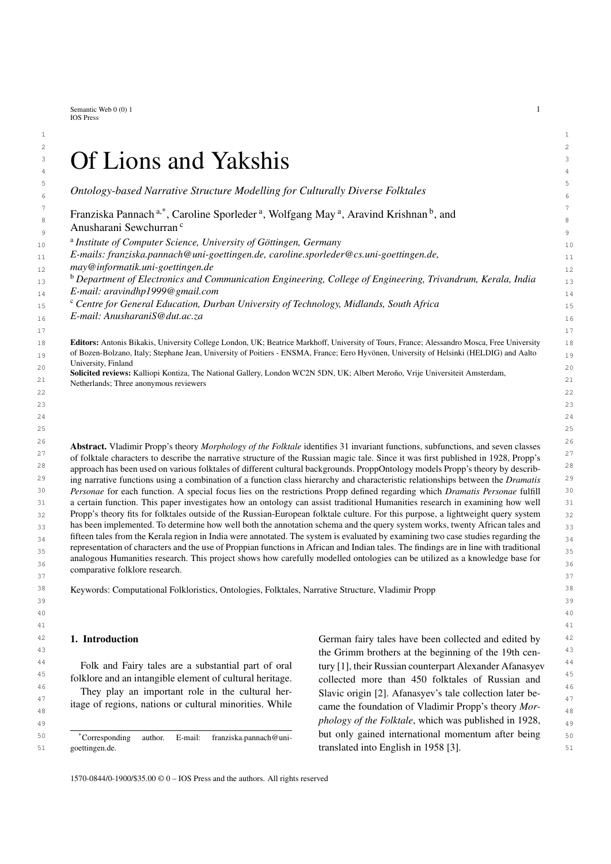Semantic Web  $0(0)$  1 1 IOS Press

### $2 \times 2$  $3$  (It I and Vakchief  $3$ <sup>3</sup> Of Lions and Yakshis

5 and 2012 and 2012 and 2012 and 2012 and 2012 and 2012 and 2012 and 2012 and 2012 and 2012 and 2012 and 2012 6 6 *Ontology-based Narrative Structure Modelling for Culturally Diverse Folktales*  $\frac{7}{7}$  r : 1 p :  $\frac{3}{7}$  r  $\frac{2}{7}$  r  $\frac{1}{7}$  r  $\frac{1}{7}$  r  $\frac{1}{7}$  r  $\frac{1}{7}$  r  $\frac{1}{7}$  r  $\frac{1}{7}$  r  $\frac{1}{7}$  r  $\frac{1}{7}$  r  $\frac{1}{7}$  r  $\frac{1}{7}$  r  $\frac{1}{7}$  r  $\frac{1}{7}$  r  $\frac{1}{7}$  r  $\frac{1}{7}$  r  $\frac{1}{7}$  $\frac{1}{8}$  $\frac{1}{8}$  $\frac{1}{8}$  Franziska Pannach<sup>[a,](#page-0-0)[\\*](#page-0-1)</sup>, Caroline Sporleder<sup>a</sup>, Wolfgang May<sup>a</sup>, Aravind Krishnan<sup>[b](#page-0-2)</sup>, and  $\frac{9}{9}$   $\frac{1}{2}$   $\frac{1}{2}$   $\frac{1}{2}$   $\frac{1}{2}$   $\frac{1}{2}$   $\frac{1}{2}$   $\frac{1}{2}$   $\frac{1}{2}$   $\frac{1}{2}$   $\frac{1}{2}$   $\frac{1}{2}$   $\frac{1}{2}$   $\frac{1}{2}$   $\frac{1}{2}$   $\frac{1}{2}$   $\frac{1}{2}$   $\frac{1}{2}$   $\frac{1}{2}$   $\frac{1}{2}$   $\frac{1}{2}$   $\frac{1}{2}$  <sup>a</sup> Institute of Computer Science, University of Göttingen, Germany and the Institute of Computer Science, University of Göttingen, Germany Anusharani Sewchurran [c](#page-0-3)

- <span id="page-0-0"></span>11 11 *E-mails: [franziska.pannach@uni-goettingen.de,](mailto:franziska.pannach@uni-goettingen.de) [caroline.sporleder@cs.uni-goettingen.de,](mailto:caroline.sporleder@cs.uni-goettingen.de)*
- 12 12 *[may@informatik.uni-goettingen.de](mailto:may@informatik.uni-goettingen.de)*
- <span id="page-0-2"></span>13 13 <sup>b</sup> *Department of Electronics and Communication Engineering, College of Engineering, Trivandrum, Kerala, India* 14 14 *E-mail: [aravindhp1999@gmail.com](mailto:aravindhp1999@gmail.com)*
- <span id="page-0-3"></span>15 15 <sup>c</sup> *Centre for General Education, Durban University of Technology, Midlands, South Africa*
- 16 16 *E-mail: [AnusharaniS@dut.ac.za](mailto:AnusharaniS@dut.ac.za)*

18 **Editors:** Antonis Bikakis, University College London, UK; Beatrice Markhoff, University of Tours, France; Alessandro Mosca, Free University 18  $_{19}$  of Bozen-Bolzano, Italy; Stephane Jean, University of Poitiers - ENSMA, France; Eero Hyvönen, University of Helsinki (HELDIG) and Aalto  $_{19}$ University, Finland

- 20 20<br>**Solicited reviews:** Kalliopi Kontiza, The National Gallery, London WC2N 5DN, UK; Albert Meroño, Vrije Universiteit Amsterdam, 21 Netherlands; Three anonymous reviewers 21 22  $\sim$  22
- 26 26 Abstract. Vladimir Propp's theory *Morphology of the Folktale* identifies 31 invariant functions, subfunctions, and seven classes <sup>27</sup> of folktale characters to describe the narrative structure of the Russian magic tale. Since it was first published in 1928, Propp's<sup>27</sup> <sup>28</sup> approach has been used on various folktales of different cultural backgrounds. ProppOntology models Propp's theory by describ-29 29 ing narrative functions using a combination of a function class hierarchy and characteristic relationships between the *Dramatis* 30 30 *Personae* for each function. A special focus lies on the restrictions Propp defined regarding which *Dramatis Personae* fulfill 31 31 a certain function. This paper investigates how an ontology can assist traditional Humanities research in examining how well 32 Propp's theory fits for folktales outside of the Russian-European folktale culture. For this purpose, a lightweight query system 32 33 has been implemented. To determine how well both the annotation schema and the query system works, twenty African tales and 33  $_{34}$  fifteen tales from the Kerala region in India were annotated. The system is evaluated by examining two case studies regarding the  $_{34}$  $35$  representation of characters and the use of Proppian functions in African and Indian tales. The findings are in line with traditional  $35$ analogous Humanities research. This project shows how carefully modelled ontologies can be utilized as a knowledge base for  $37$  and  $\frac{1}{2}$  and  $\frac{1}{2}$  and  $\frac{1}{2}$  and  $\frac{1}{2}$  and  $\frac{1}{2}$  and  $\frac{1}{2}$  and  $\frac{1}{2}$  and  $\frac{1}{2}$  and  $\frac{1}{2}$  and  $\frac{1}{2}$  and  $\frac{1}{2}$  and  $\frac{1}{2}$  and  $\frac{1}{2}$  and  $\frac{1}{2}$  and  $\frac{1}{2}$  and  $\$ comparative folklore research.

38 38 Keywords: Computational Folkloristics, Ontologies, Folktales, Narrative Structure, Vladimir Propp

1. Introduction

Folk and Fairy tales are a substantial part of oral

<span id="page-0-1"></span>\*Corresponding author. E-mail: [franziska.pannach@uni](mailto:franziska.pannach@uni-goettingen.de)[goettingen.de.](mailto:franziska.pannach@uni-goettingen.de)

<sup>42</sup> **1. Introduction 1. Conserverse and the Conserverse Exchange of German fairy tales have been collected and edited by**  $\frac{42}{5}$ 43 43 the Grimm brothers at the beginning of the 19th cen- $^{44}$  Folk and Fairy tales are a substantial part of oral tury [\[1\]](#page-19-0), their Russian counterpart Alexander Afanasyev  $^{44}$ <sup>45</sup> folklore and an intangible element of cultural heritage. collected more than 450 folktales of Russian and<sup>45</sup> <sup>46</sup> They play an important role in the cultural her-<br>Slavic origin [2]. Afanasyev's tale collection later be-<sup>47</sup> itage of regions, nations or cultural minorities. While  $\frac{6}{2}$  came the foundation of Vladimir Propp's theory Mor-<sup>48</sup> 1tage of regions, nations or cultural minorities. While came the foundation of Vladimir Propp's theory *Mor*-49 49 *phology of the Folktale*, which was published in 1928, 50  $\overline{\phantom{a}}$   $\overline{\phantom{a}}$   $\overline{\phantom{a}}$   $\overline{\phantom{a}}$   $\overline{\phantom{a}}$   $\overline{\phantom{a}}$   $\overline{\phantom{a}}$   $\overline{\phantom{a}}$   $\overline{\phantom{a}}$   $\overline{\phantom{a}}$   $\overline{\phantom{a}}$   $\overline{\phantom{a}}$   $\overline{\phantom{a}}$   $\overline{\phantom{a}}$   $\overline{\phantom{a}}$   $\overline{\phantom{a}}$   $\overline{\phantom{a}}$   $\overline{\phantom{a}}$   $\over$ 51 soluting the setting of the setting of the setting of the setting of the setting of the setting of the set of the set of the set of the set of the set of the set of the set of the set of the set of the set of the set of collected more than 450 folktales of Russian and Slavic origin [\[2\]](#page-19-1). Afanasyev's tale collection later be-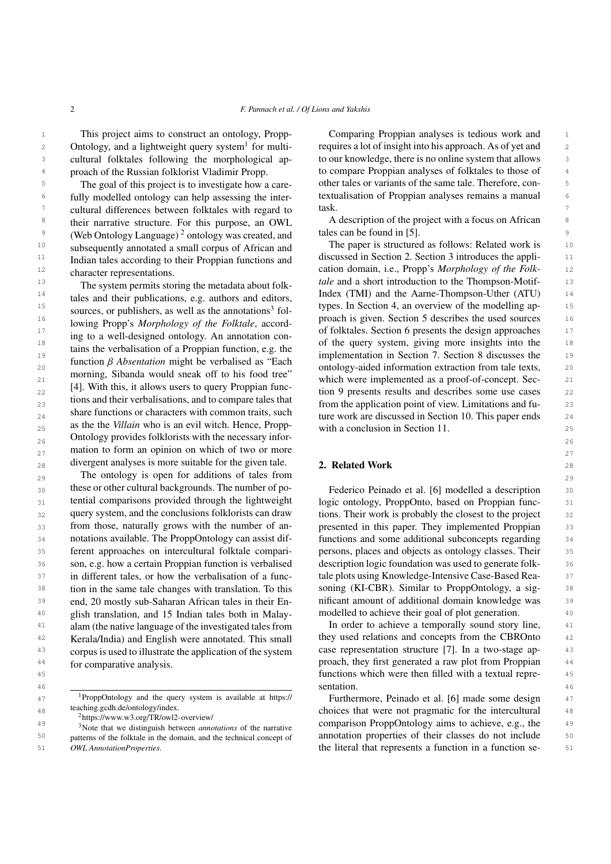Ontology, and a lightweight query system<sup>[1](#page-1-0)</sup> for multicultural folktales following the morphological approach of the Russian folklorist Vladimir Propp.

<sup>6</sup> fully modelled ontology can help assessing the inter-<br>textualisation of Proppian analyses remains a manual and the set of the set of the inter- $7$  cultural differences between folktales with regard to task. <sup>8</sup> their narrative structure. For this purpose, an OWL A description of the project with a focus on African <sup>9</sup> (Web Ontology Language) <sup>[2](#page-1-1)</sup> ontology was created, and tales can be found in [5]. <sup>10</sup> subsequently annotated a small corpus of African and The paper is structured as follows: Related work is <sup>10</sup> <sup>11</sup> Indian tales according to their Proppian functions and discussed in Section [2.](#page-1-3) Section [3](#page-3-0) introduces the appli-<sup>12</sup> character representations **12** character representations **12** cation domain, i.e., Propp's *Morphology of the Folk-* 12 The goal of this project is to investigate how a carefully modelled ontology can help assessing the intertheir narrative structure. For this purpose, an OWL subsequently annotated a small corpus of African and Indian tales according to their Proppian functions and character representations.

 $14$  tales and their publications e.g. authors and editors Index (TMI) and the Aarne-Thompson-Uther (ATU)  $14$ 15 15 types. In Section [4,](#page-5-0) an overview of the modelling ap-16 **16** 16 **16** 16 **16** 16 **16** 16 **16** 16 **16** 16 **16** 16 **16** 16 **16** 16 **16** 16 **16** 16 **16** 16 **16** 16 **16** 16 **16** 16 **16** 16 **16** 16 **16** 16 **16** 16 **16** 16 16**1** 17 **18** 17 **18** 18 **18** 18 **18** 18 **18** 18 **18** 18 **1** 17 17 of folktales. Section [6](#page-7-0) presents the design approaches 18 18 of the query system, giving more insights into the  $\frac{19}{19}$  implementation in Section [8](#page-13-0) discusses the  $\frac{19}{19}$  implementation in Section [7.](#page-11-0) Section 8 discusses the  $\frac{19}{19}$  $20$  anciently *D* contained the contraction of  $20$  contrology-aided information extraction from tale texts,  $20$ 21 **21 EVALUAR** which were implemented as a proof-of-concept. Sec-<br>21 **11 MeV**  $22$   $\left\{ \frac{1}{2} \right\}$ . While this, it allows users to query 1 roppian rune-<br>tion [9](#page-14-0) presents results and describes some use cases 22 23 **100** to the application point of view. Limitations and fu-<br>23  $_{24}$  share functions or characters with common trans, such ture work are discussed in Section [10.](#page-18-0) This paper ends  $_{24}$ 25 as the *vitial who* is an evil witch. Hence, Propper with a conclusion in Section [11.](#page-18-1) 26 26 Ontology provides folklorists with the necessary infor- $_{27}$  mation to form an opinion on which of two or more 28 divergent analyses is more suitable for the given tale. **2. Related Work** 28 The system permits storing the metadata about folktales and their publications, e.g. authors and editors, sources, or publishers, as well as the annotations<sup>[3](#page-1-2)</sup> following Propp's *Morphology of the Folktale*, according to a well-designed ontology. An annotation contains the verbalisation of a Proppian function, e.g. the function β *Absentation* might be verbalised as "Each morning, Sibanda would sneak off to his food tree" [\[4\]](#page-19-3). With this, it allows users to query Proppian functions and their verbalisations, and to compare tales that share functions or characters with common traits, such as the the *Villain* who is an evil witch. Hence, Propp-

29 29 The ontology is open for additions of tales from 30 these or other cultural backgrounds. The number of po-<br>Federico Peinado et al. [\[6\]](#page-19-5) modelled a description 31 tential comparisons provided through the lightweight logic ontology, ProppOnto, based on Proppian func- 31 32 query system, and the conclusions folklorists can draw tions. Their work is probably the closest to the project 32 33 from those, naturally grows with the number of an-<br>presented in this paper. They implemented Proppian 33 34 notations available. The ProppOntology can assist dif- functions and some additional subconcepts regarding 34 35 ferent approaches on intercultural folktale compari- persons, places and objects as ontology classes. Their 35 36 son, e.g. how a certain Proppian function is verbalised description logic foundation was used to generate folk-<br>36 37 in different tales, or how the verbalisation of a func-<br>37 in different tales, or how the verbalisation of a func-<br>4 ale plots using Knowledge-Intensive Case-Based Rea-<sup>38</sup> tion in the same tale changes with translation. To this soning (KI-CBR). Similar to ProppOntology, a sig-39 end, 20 mostly sub-Saharan African tales in their En-<br>
anificant amount of additional domain knowledge was <sup>40</sup> glish translation, and 15 Indian tales both in Malay- modelled to achieve their goal of plot generation. <sup>41</sup> alam (the native language of the investigated tales from In order to achieve a temporally sound story line, <sup>41</sup> <sup>42</sup> Kerala/India) and English were annotated. This small they used relations and concepts from the CBROnto <sup>42</sup> <sup>43</sup> corpus is used to illustrate the application of the system case representation structure [\[7\]](#page-19-6). In a two-stage ap-<sup>44</sup> for comparative analysis. The process of the proach, they first generated a raw plot from Proppian <sup>44</sup> these or other cultural backgrounds. The number of potential comparisons provided through the lightweight query system, and the conclusions folklorists can draw notations available. The ProppOntology can assist different approaches on intercultural folktale comparison, e.g. how a certain Proppian function is verbalised in different tales, or how the verbalisation of a funcend, 20 mostly sub-Saharan African tales in their Enalam (the native language of the investigated tales from Kerala/India) and English were annotated. This small corpus is used to illustrate the application of the system for comparative analysis.

<span id="page-1-2"></span><span id="page-1-1"></span> $^{2}$ <https://www.w3.org/TR/owl2-overview/>

1 1 This project aims to construct an ontology, Propp-2 Ontology, and a lightweight query system<sup>1</sup> for multi- requires a lot of insight into his approach. As of yet and 2 3 cultural folktales following the morphological ap-<br>3 cultural folktales following the morphological ap-<br>3 to our knowledge, there is no online system that allows <sup>4</sup> proach of the Russian folklorist Vladimir Propp. to compare Proppian analyses of folktales to those of <sup>4</sup> <sup>5</sup> The goal of this project is to investigate how a care-<br><sup>5</sup> other tales or variants of the same tale. Therefore, con-Comparing Proppian analyses is tedious work and task.

tales can be found in [\[5\]](#page-19-4).

<sup>13</sup> The system permits storing the metadata about folk, tale and a short introduction to the Thompson-Motif-

### <span id="page-1-3"></span>2. Related Work

presented in this paper. They implemented Proppian soning (KI-CBR). Similar to ProppOntology, a sigmodelled to achieve their goal of plot generation.

45 45 functions which were then filled with a textual repre-46 Constanting the constant of the second second constant of the second second second and second and the second second second second second second second second second second second second second second second second secon sentation.

<sup>47</sup> <sup>1</sup>ProppOntology and the query system is available at https:// Furthermore, Peinado et al. [\[6\]](#page-19-5) made some design <sup>48</sup> teaching.gon.de/ontology/index.<br> **choices that were not pragmatic for the intercultural** 48 <sup>49</sup> <sup>the source we we were contributed to the three ampteriors of the parative comparison ProppOntology aims to achieve, e.g., the <sup>49</sup></sup> 51 OWL Annotation Properties. The literal that represents a function in a function se-

<span id="page-1-0"></span><sup>1</sup>ProppOntology and the query system is available at [https://](https://teaching.gcdh.de/ontology/index) [teaching.gcdh.de/ontology/index.](https://teaching.gcdh.de/ontology/index)

<sup>&</sup>lt;sup>50</sup> patterns of the folktale in the domain, and the technical concept of annotation properties of their classes do not include <sup>50</sup> <sup>3</sup>Note that we distinguish between *annotations* of the narrative patterns of the folktale in the domain, and the technical concept of *OWL AnnotationProperties*.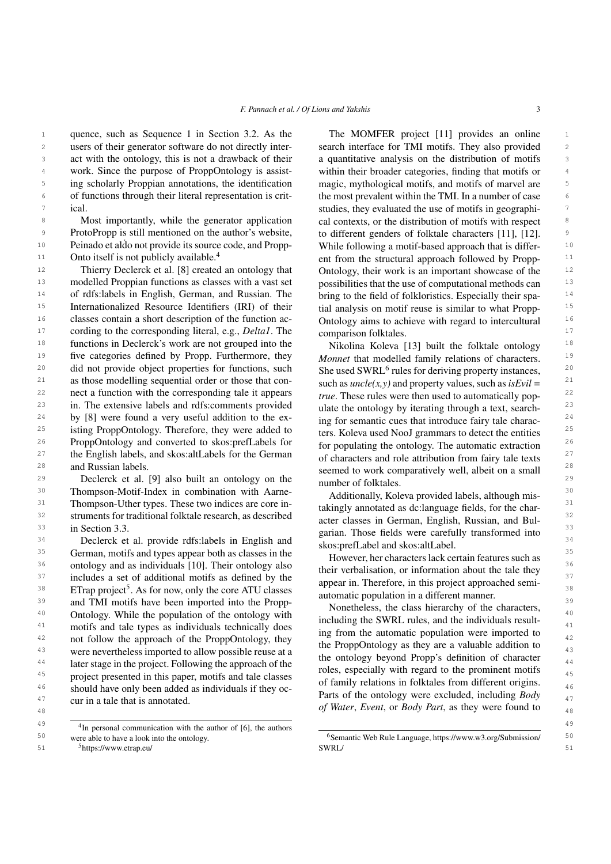1 quence, such as Sequence [1](#page-4-0) in Section [3.2.](#page-4-1) As the The MOMFER project [11] provides an online 1 2 users of their generator software do not directly inter-<br>search interface for TMI motifs. They also provided 2 3 act with the ontology, this is not a drawback of their a quantitative analysis on the distribution of motifs 3 <sup>4</sup> work. Since the purpose of ProppOntology is assist-<br>within their broader categories, finding that motifs or <sup>5</sup> ing scholarly Proppian annotations, the identification magic, mythological motifs, and motifs of marvel are <sup>5</sup> <sup>6</sup> of functions through their literal representation is crit-<br><sup>6</sup> the most prevalent within the TMI. In a number of case <sup>7</sup> ical. Studies, they evaluated the use of motifs in geographiusers of their generator software do not directly interwork. Since the purpose of ProppOntology is assistof functions through their literal representation is critical.

<sup>8</sup> Most importantly, while the generator application cal contexts, or the distribution of motifs with respect <sup>9</sup> ProtoPropp is still mentioned on the author's website, to different genders of folktale characters [11], [12]. <sup>10</sup> Peinado et aldo not provide its source code, and Propp-<br>While following a motif-based approach that is differ-Most importantly, while the generator application Peinado et aldo not provide its source code, and Propp-Onto itself is not publicly available.[4](#page-2-0)

<sup>12</sup> Thierry Declerck et al. [\[8\]](#page-19-7) created an ontology that Ontology, their work is an important showcase of the <sup>12</sup> <sup>13</sup> modelled Proppian functions as classes with a vast set possibilities that the use of computational methods can <sup>14</sup> of rdfs:labels in English, German, and Russian. The bring to the field of folkloristics. Especially their spa-<sup>15</sup> Internationalized Resource Identifiers (IRI) of their tial analysis on motif reuse is similar to what Propp-<sup>16</sup> classes contain a short description of the function ac-<br>Ontology aims to achieve with regard to intercultural <sup>16</sup> <sup>17</sup> cording to the corresponding literal, e.g., *Delta1*. The comparison folktales. <sup>18</sup> functions in Declerck's work are not grouped into the Nikolina Koleva [13] built the folktale ontology <sup>18</sup> <sup>19</sup> five categories defined by Propp. Furthermore, they *Monnet* that modelled family relations of characters. <sup>19</sup> <sup>20</sup> did not provide object properties for functions, such She used SWRL<sup>6</sup> rules for deriving property instances. <sup>20</sup> 21 as those modelling sequential order or those that con-<br>such as  $unclet(x, y)$  and property values, such as  $isEvil =$ <sup>21</sup> 22 nect a function with the corresponding tale it appears  $true$ . These rules were then used to automatically pop-23 in. The extensive labels and rdfs:comments provided ulate the ontology by iterating through a text, search-<sup>24</sup> by [\[8\]](#page-19-7) were found a very useful addition to the ex-<br>ing for semantic cues that introduce fairy tale charac-<br><sup>24</sup> <sup>25</sup> isting ProppOntology. Therefore, they were added to the Koleva used NooI grammars to detect the entities  $^{25}$ <sup>26</sup> ProppOntology and converted to skos:prefLabels for  $\frac{1}{26}$  for populating the ontology. The automatic extraction  $\frac{26}{5}$ <sup>27</sup> the English labels, and skos:altLabels for the German of characters and role attribution from fairy tale texts <sup>27</sup> and Russian labels.

 $29$  Declerck et al. [\[9\]](#page-19-8) also built an ontology on the number of folkfales  $29$ <sup>30</sup> Thompson-Motif-Index in combination with Aarne-<br>Additionally Koleya provided labels although mis-<sup>31</sup> Thompson-Uther types. These two indices are core in-<br>takingly annotated as declared as declared as fields, for the charged <sup>32</sup> struments for traditional folktale research, as described<br><sup>32</sup> acter classes in German, English Russian, and Rulin Section [3.3.](#page-5-1)

 $34$  Declerck et al. provide rdfs:labels in English and  $\frac{1}{2}$  skos: prefl abel and skos: alt abel <sup>35</sup> 35 German, motifs and types appear both as classes in the *However* her characters lack certain features such as <sup>35</sup>  $36$  ontology and as individuals [\[10\]](#page-19-9). Their ontology also their verbalisation or information about the tale they  $36$  $37$  includes a set of additional motifs as defined by the  $\frac{37}{2}$  appear in Therefore in this project approached semi  $^{38}$  ETrap project<sup>[5](#page-2-1)</sup>. As for now, only the core ATU classes  $^{38}$  automatic population in a different manner <sup>39</sup> and TMI motifs have been imported into the Propp-<br>Nonetheless the class hierarchy of the characters<sup>39</sup> <sup>40</sup> Ontology. While the population of the ontology with including the SWPI rules and the individuals result <sup>41</sup> motifs and tale types as individuals technically does in from the automatic population were imported to <sup>42</sup> not follow the approach of the ProppOntology, they the Propontology as they are a velupble edition to <sup>43</sup> were nevertheless imported to allow possible reuse at a the antelogy hough proper care definition of ebergeter <sup>44</sup> a later stage in the project. Following the approach of the relation of the representation of character <sup>44</sup>  $45$  project presented in this paper, motifs and tale classes  $45$  effections in following from different existes  $^{46}$  should have only been added as individuals if they oc-<br>Derta of the ortal part and postular analyzed including  $R_2$  and  $\frac{46}{4}$ <sup>47</sup> eur in a tale that is annotated<br><sup>47</sup> eur in a tale that is annotated cur in a tale that is annotated.

<sup>49</sup> <sup>4</sup>In personal communication with the author of [\[6\]](#page-19-5), the authors <sup>49</sup> 50 were able to have a look into the ontology. The state of Semantic Web Rule Language, [https://www.w3.org/Submission/](https://www.w3.org/Submission/SWRL/) were able to have a look into the ontology.

<span id="page-2-1"></span><span id="page-2-0"></span>

<sup>11</sup> Onto itself is not publicly available.<sup>4</sup> ent from the structural approach followed by Propp-<sup>11</sup> The MOMFER project [\[11\]](#page-19-10) provides an online a quantitative analysis on the distribution of motifs magic, mythological motifs, and motifs of marvel are to different genders of folktale characters [\[11\]](#page-19-10), [\[12\]](#page-19-11). Ontology, their work is an important showcase of the possibilities that the use of computational methods can bring to the field of folkloristics. Especially their spatial analysis on motif reuse is similar to what Propp-Ontology aims to achieve with regard to intercultural comparison folktales.

<sup>28</sup> and Russian labels.<br>
<sup>28</sup> seemed to work comparatively well, albeit on a small Nikolina Koleva [\[13\]](#page-19-12) built the folktale ontology *Monnet* that modelled family relations of characters. She used SWRL<sup>[6](#page-2-2)</sup> rules for deriving property instances, such as  $uncle(x, y)$  and property values, such as  $isEvil =$ *true*. These rules were then used to automatically populate the ontology by iterating through a text, searching for semantic cues that introduce fairy tale characters. Koleva used NooJ grammars to detect the entities for populating the ontology. The automatic extraction of characters and role attribution from fairy tale texts number of folktales.

 $\frac{33}{24}$  in Section 3.3.  $\frac{33}{24}$  garian. Those fields were carefully transformed into Additionally, Koleva provided labels, although mistakingly annotated as dc:language fields, for the character classes in German, English, Russian, and Bulskos:prefLabel and skos:altLabel.

> <span id="page-2-2"></span>However, her characters lack certain features such as their verbalisation, or information about the tale they appear in. Therefore, in this project approached semiautomatic population in a different manner.

48 48 *of Water*, *Event*, or *Body Part*, as they were found to Nonetheless, the class hierarchy of the characters, including the SWRL rules, and the individuals resulting from the automatic population were imported to the ProppOntology as they are a valuable addition to the ontology beyond Propp's definition of character roles, especially with regard to the prominent motifs of family relations in folktales from different origins.

<sup>51</sup> 51 <sup>5</sup><https://www.etrap.eu/> [SWRL/](https://www.w3.org/Submission/SWRL/)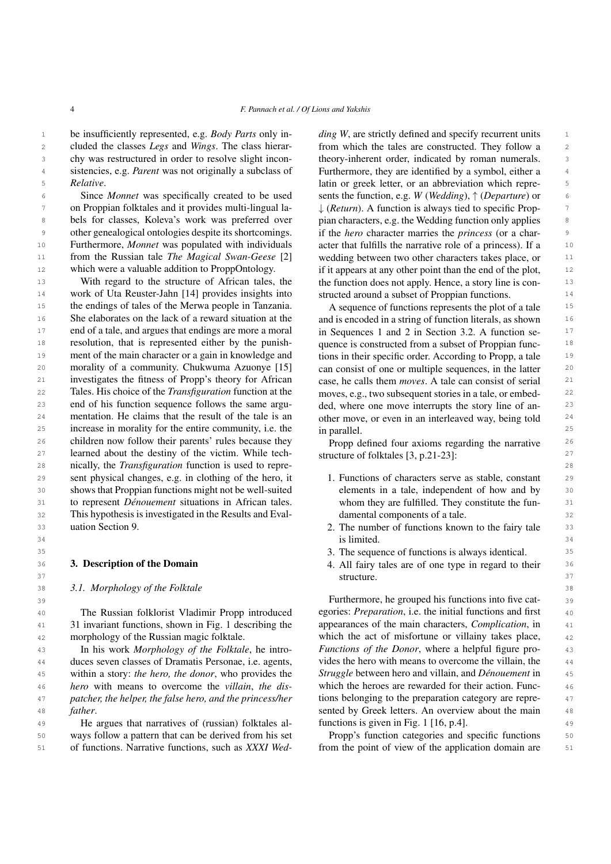1 be insufficiently represented, e.g. *Body Parts* only in- *ding W*, are strictly defined and specify recurrent units 2 cluded the classes *Legs* and *Wings*. The class hierar-<br>from which the tales are constructed. They follow a 2 3 3 chy was restructured in order to resolve slight incon-4 sistencies, e.g. *Parent* was not originally a subclass of Furthermore, they are identified by a symbol, either a 5 *Relative*. cluded the classes *Legs* and *Wings*. The class hierar-*Relative*.

6 6 sents the function, e.g. *W* (*Wedding*), ↑ (*Departure*) or on Proppian folktales and it provides multi-lingual la-  $\downarrow$  (*Return*). A function is always tied to specific Prop-8 bels for classes, Koleva's work was preferred over pian characters, e.g. the Wedding function only applies 8 9 other genealogical ontologies despite its shortcomings. if the *hero* character marries the *princess* (or a char-<sup>10</sup> Furthermore, *Monnet* was populated with individuals acter that fulfills the narrative role of a princess). If a <sup>11</sup> from the Russian tale *The Magical Swan-Geese* [2] wedding between two other characters takes place, or <sup>11</sup> <sup>12</sup> which were a valuable addition to ProppOntology. if it appears at any other point than the end of the plot, Since *Monnet* was specifically created to be used other genealogical ontologies despite its shortcomings. Furthermore, *Monnet* was populated with individuals from the Russian tale *The Magical Swan-Geese* [\[2\]](#page-19-1) which were a valuable addition to ProppOntology.

<sup>14</sup> work of Uta Reuster-Jahn [\[14\]](#page-19-13) provides insights into structed around a subset of Proppian functions. 15 15 the endings of tales of the Merwa people in Tanzania. <sup>16</sup> She elaborates on the lack of a reward situation at the and is encoded in a string of function literals, as shown <sup>16</sup> <sup>17</sup> end of a tale, and argues that endings are more a moral in Sequences 1 and 2 in Section 3.2. A function se-<sup>18</sup> resolution, that is represented either by the punish-quence is constructed from a subset of Proppian func-<sup>18</sup> <sup>19</sup> ment of the main character or a gain in knowledge and tions in their specific order. According to Propp, a tale <sup>20</sup> morality of a community. Chukwuma Azuonye [15] can consist of one or multiple sequences, in the latter <sup>20</sup> 21 investigates the fitness of Propp's theory for African case, he calls them *moves*. A tale can consist of serial 21 22 22 Tales. His choice of the *Transfiguration* function at the 23 end of his function sequence follows the same argu-<br>ded, where one move interrupts the story line of an-<br>23 24 mentation. He claims that the result of the tale is an other move, or even in an interleaved way, being told 24 25 increase in morality for the entire community, i.e. the in parallel. 25 <sup>26</sup> children now follow their parents' rules because they **Propy** defined four axioms regarding the narrative <sup>26</sup> 27 23. 27 221-23] 28 28 nically, the *Transfiguration* function is used to repre-29 29 sent physical changes, e.g. in clothing of the hero, it 30 30 shows that Proppian functions might not be well-suited 31 to represent *Dénouement* situations in African tales. Whom they are fulfilled. They constitute the fun-<br>31 32 32 This hypothesis is investigated in the Results and Eval-33 33 2. The number of functions known to the fairy tale With regard to the structure of African tales, the morality of a community. Chukwuma Azuonye [\[15\]](#page-19-14) uation Section [9.](#page-14-0)

### <span id="page-3-0"></span>3. Description of the Domain

### 38 38 *3.1. Morphology of the Folktale*

40 **10** The Russian folklorist Vladimir Propp introduced egories: *Preparation*, i.e. the initial functions and first 40 41 31 invariant functions, shown in Fig. [1](#page-4-2) describing the appearances of the main characters, *Complication*, in 41 <sup>42</sup> morphology of the Russian magic folktale. Which the act of misfortune or villainy takes place, <sup>42</sup> The Russian folklorist Vladimir Propp introduced morphology of the Russian magic folktale.

 43 In his work *Morphology of the Folktale*, he intro- 44 duces seven classes of Dramatis Personae, i.e. agents, 45 *Struggle* between hero and villain, and *Dénouement* in 46 *hero* with means to overcome the *villain*, *the dis-* 47 *patcher, the helper, the false hero, and the princess/her father*. The sented by Greek letters. An overview about the main 48 within a story: *the hero, the donor*, who provides the *father*.

49 He argues that narratives of (russian) folktales al-<br>49 directions is given in Fig. 1 [16, p.4]. 50 50 ways follow a pattern that can be derived from his set 51 of functions. Narrative functions, such as XXXI Wed-<br>
from the point of view of the application domain are 51 of functions. Narrative functions, such as *XXXI Wed-*

<sup>13</sup> 13 With regard to the structure of African tales, the the function does not apply. Hence, a story line is con*ding W*, are strictly defined and specify recurrent units theory-inherent order, indicated by roman numerals. Furthermore, they are identified by a symbol, either a ↓ (*Return*). A function is always tied to specific Proppian characters, e.g. the Wedding function only applies structed around a subset of Proppian functions.

> A sequence of functions represents the plot of a tale and is encoded in a string of function literals, as shown in Sequences [1](#page-4-0) and [2](#page-4-3) in Section [3.2.](#page-4-1) A function sequence is constructed from a subset of Proppian functions in their specific order. According to Propp, a tale case, he calls them *moves*. A tale can consist of serial moves, e.g., two subsequent stories in a tale, or embedded, where one move interrupts the story line of another move, or even in an interleaved way, being told in parallel.

Propp defined four axioms regarding the narrative structure of folktales [\[3,](#page-19-2) p.21-23]:

- 1. Functions of characters serve as stable, constant elements in a tale, independent of how and by whom they are fulfilled. They constitute the fundamental components of a tale.
- 34 34 is limited.
- 35 35 3. The sequence of functions is always identical.
- 36 **3. Description of the Domain**  $\frac{36}{4}$ . All fairy tales are of one type in regard to their  $\frac{36}{4}$ 37 Structure. **Structure** 237 Structure 237 Structure 237 Structure 237 Structure 237 Structure 237 Structure 237 structure.

39 39 Furthermore, he grouped his functions into five catappearances of the main characters, *Complication*, in *Functions of the Donor*, where a helpful figure provides the hero with means to overcome the villain, the which the heroes are rewarded for their action. Functions belonging to the preparation category are reprefunctions is given in Fig. [1](#page-4-2) [\[16,](#page-19-15) p.4].

Propp's function categories and specific functions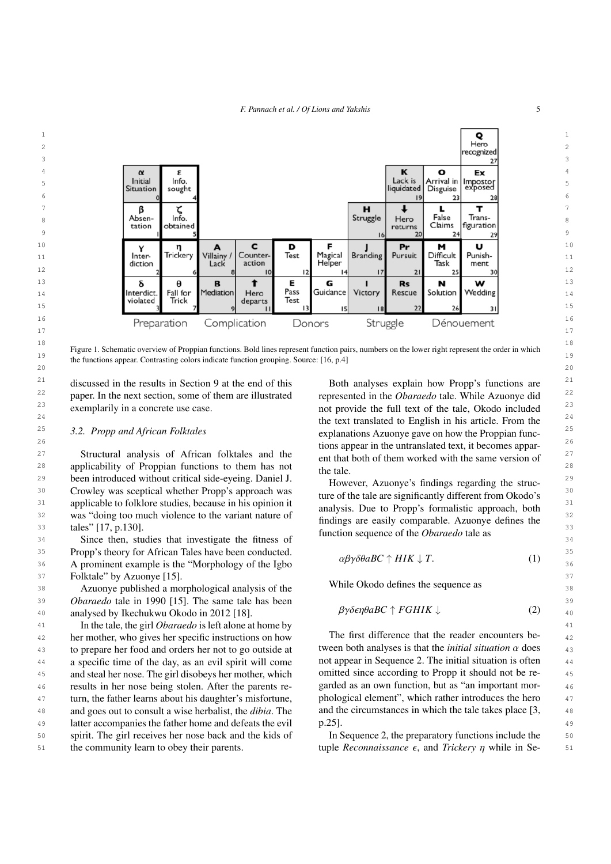<span id="page-4-2"></span>

<sup>18</sup><br>Figure 1. Schematic overview of Proppian functions. Bold lines represent function pairs, numbers on the lower right represent the order in which 19<br>the functions appear. Contrasting colors indicate function grouping. Source: [\[16,](#page-19-15) p.4]  $20$ 

<sup>22</sup> paper. In the next section, some of them are illustrated represented in the *Obaraedo* tale. While Azuonye did<sup>22</sup> exemplarily in a concrete use case.

<span id="page-4-1"></span>27 Structural analysis of African folktales and the  $\frac{27}{11}$  enter that both of them worked with the same version of  $\frac{27}{11}$ <sup>28</sup> applicability of Proppian functions to them has not the tale 28 29 29 been introduced without critical side-eyeing. Daniel J.  $30$  Crowley was sceptical whether Propp's approach was  $\frac{1}{20}$  are significantly different from Okodo's  $\frac{1}{20}$ <sup>31</sup> applicable to folklore studies, because in his opinion it<br><sup>31</sup> applicable to formalistic approach both<sup>31</sup> 32 32 was "doing too much violence to the variant nature of tales" [\[17,](#page-19-16) p.130].

34 Since then, studies that investigate the fitness of the sequence of the obtained the dis-35 Propp's theory for African Tales have been conducted.  $35$   $35 \times 10^{12} + T$   $(1)$   $35$ 36 A prominent example is the "Morphology of the Igbo $\mu p \nu \omega \omega D C + \mu \nu R \psi D$ . 37 37 Folktale" by Azuonye [\[15\]](#page-19-14).

38 38 Azuonye published a morphological analysis of the 39 39 *Obaraedo* tale in 1990 [\[15\]](#page-19-14). The same tale has been 40 analysed by Ikechukwu Okodo in 2012 [\[18\]](#page-19-17).  $\beta\gamma$ oenplab C | FGHIR  $\downarrow$  (2)  $\frac{40}{40}$ 

41 41 In the tale, the girl *Obaraedo* is left alone at home by <sup>42</sup> her mother, who gives her specific instructions on how The first difference that the reader encounters be-43 to prepare her food and orders her not to go outside at tween both analyses is that the *initial situation*  $\alpha$  does  $\alpha$ 44 a specific time of the day, as an evil spirit will come not appear in Sequence 2. The initial situation is often 44 45 and steal her nose. The girl disobeys her mother, which omitted since according to Propp it should not be re-46 results in her nose being stolen. After the parents re-<br>garded as an own function, but as "an important mor-<sup>47</sup> turn, the father learns about his daughter's misfortune, phological element", which rather introduces the hero 48 48 and goes out to consult a wise herbalist, the *dibia*. The 49 a latter accompanies the father home and defeats the evil p.25. 50 spirit. The girl receives her nose back and the kids of In Sequence 2, the preparatory functions include the 50 the community learn to obey their parents.

<sup>21</sup> discussed in the results in Section [9](#page-14-0) at the end of this Both analyses explain how Propp's functions are <sup>21</sup> <sup>23</sup> exemplarily in a concrete use case. The result of provide the full text of the tale, Okodo included<sup>23</sup>  $24$  the text translated to English in his article. From the  $24$ 25 25 *3.2. Propp and African Folktales* 26 26 tions appear in the untranslated text, it becomes appar-Both analyses explain how Propp's functions are represented in the *Obaraedo* tale. While Azuonye did explanations Azuonye gave on how the Proppian funcent that both of them worked with the same version of the tale.

33 33 function sequence of the *Obaraedo* tale as However, Azuonye's findings regarding the structure of the tale are significantly different from Okodo's analysis. Due to Propp's formalistic approach, both findings are easily comparable. Azuonye defines the

<span id="page-4-3"></span><span id="page-4-0"></span> $\alpha\beta\gamma\delta\theta aBC \uparrow HIK \downarrow T.$  (1)

While Okodo defines the sequence as

$$
\beta\gamma\delta\epsilon\eta\theta aBC \uparrow FGHK \downarrow \tag{2}
$$

The first difference that the reader encounters between both analyses is that the *initial situation* α does not appear in Sequence [2.](#page-4-3) The initial situation is often omitted since according to Propp it should not be regarded as an own function, but as "an important morphological element", which rather introduces the hero and the circumstances in which the tale takes place [\[3,](#page-19-2) p.25].

the community learn to obey their parents.  $\text{tuple}\,z$  Reconnaissance  $\epsilon$ , and *Trickery η* while in Se-<br>51 In Sequence [2,](#page-4-3) the preparatory functions include the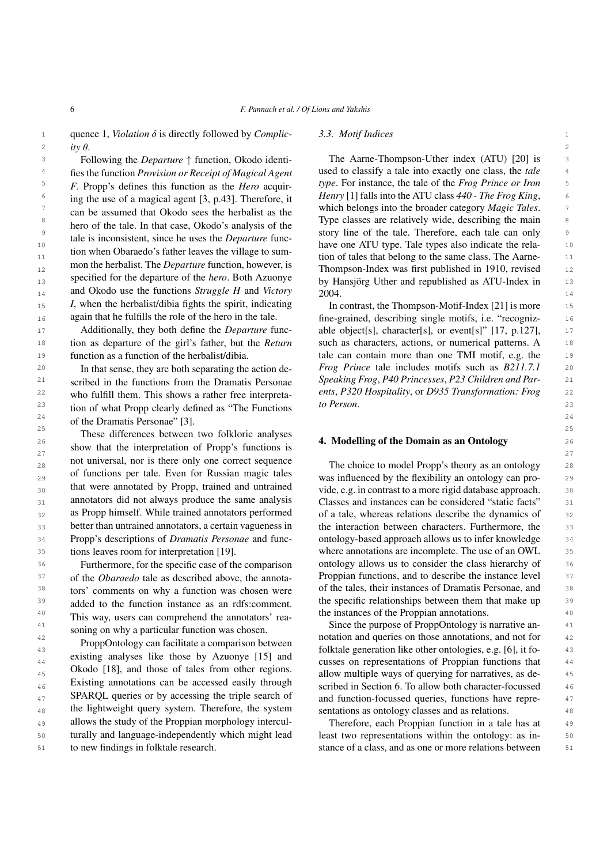1 quence [1,](#page-4-0) *Violation* δ is directly followed by *Complic-* 3.3. Motif Indices<br>
<sup>2</sup> ity θ 2 ity  $\theta$ . *ity* θ.

<sup>4</sup> fies the function *Provision or Receipt of Magical Agent* used to classify a tale into exactly one class, the *tale* 5 5 *type*. For instance, the tale of the *Frog Prince or Iron* <sup>6</sup> ing the use of a magical agent  $\begin{bmatrix} 3 & n43 \end{bmatrix}$  Therefore it Henry  $\begin{bmatrix} 1 \end{bmatrix}$  falls into the ATU class 440 - The Frog King, <sup>7</sup> can be assumed that Okodo sees the berbalist as the which belongs into the broader category *Magic Tales*. 8 8 Type classes are relatively wide, describing the main  $\frac{9}{2}$  9  $\frac{1}{2}$  12  $\frac{1}{2}$  12  $\frac{1}{2}$  12  $\frac{1}{2}$  12  $\frac{1}{2}$  12  $\frac{1}{2}$  12  $\frac{1}{2}$  12  $\frac{1}{2}$  12  $\frac{1}{2}$  12  $\frac{1}{2}$  12  $\frac{1}{2}$  12  $\frac{1}{2}$  12  $\frac{1}{2}$  12  $\frac{1}{2}$  12  $\frac{1}{2}$  12  $\frac{1}{2}$  12 10 and is the observed to the disc of the best determined have one ATU type. Tale types also indicate the rela-11 11 tion of tales that belong to the same class. The Aarne-12 12 Thompson-Index was first published in 1910, revised  $_{13}$  specified for the departure of the *nero*. Both Azuonye by Hansjörg Uther and republished as ATU-Index in  $_{13}$ <sub>14</sub> and Okodo use the functions *Struggle H* and *Victory* 2004. 15 15 In contrast, the Thompson-Motif-Index [\[21\]](#page-20-1) is more Following the *Departure* ↑ function, Okodo identifies the function *Provision or Receipt of Magical Agent F*. Propp's defines this function as the *Hero* acquiring the use of a magical agent [\[3,](#page-19-2) p.43]. Therefore, it can be assumed that Okodo sees the herbalist as the hero of the tale. In that case, Okodo's analysis of the tale is inconsistent, since he uses the *Departure* function when Obaraedo's father leaves the village to summon the herbalist. The *Departure* function, however, is specified for the departure of the *hero*. Both Azuonye *I*, when the herbalist/dibia fights the spirit, indicating again that he fulfills the role of the hero in the tale.

17 Additionally, they both define the *Departure* func-<br>
able object[s], character[s], or event[s]" [\[17,](#page-19-16) p.127], 18 tion as departure of the girl's father, but the *Return* such as characters, actions, or numerical patterns. A 18 19 function as a function of the herbalist/dibia. tale can contain more than one TMI motif, e.g. the 19 Additionally, they both define the *Departure* funcfunction as a function of the herbalist/dibia.

21 21 *Speaking Frog*, *P40 Princesses*, *P23 Children and Par-*22 22 *ents*, *P320 Hospitality*, or *D935 Transformation: Frog*  $23$  tion of what Propp clearly defined as "The Functions  $10$  Person.  $23$  $24$  of the Dramatis Personae" [\[3\]](#page-19-2). In that sense, they are both separating the action described in the functions from the Dramatis Personae who fulfill them. This shows a rather free interpreta-

<span id="page-5-0"></span>25 25 These differences between two folkloric analyses  $26$  26  $\frac{1}{26}$  26  $\frac{1}{26}$  26  $\frac{1}{26}$  26  $\frac{1}{26}$  26  $\frac{1}{26}$  26  $\frac{1}{26}$  26  $\frac{1}{26}$  26  $\frac{1}{26}$  26  $\frac{1}{26}$  26  $\frac{1}{26}$  26  $\frac{1}{26}$  26  $\frac{1}{26}$  26  $\frac{1}{26}$  26  $\frac{1}{26}$  26  $\frac{1}{26}$  26  $\frac$ show that the interpretation of Propp's functions is  $\frac{1}{27}$ . Moderning of the Bomann as an Ontology 28 28 The choice to model Propp's theory as an ontology  $_{29}$  of functions per tale. Even for Russian magic tales was influenced by the flexibility an ontology can pro- $_{30}$  unal were annotated by Propp, trained and untrained vide, e.g. in contrast to a more rigid database approach.  $_{30}$  $_{31}$  annotators did not always produce the same analysis Classes and instances can be considered "static facts"  $_{31}$ 32 **as Propp himself.** While trained annotators performed of a tale, whereas relations describe the dynamics of 32 33 better than untrained annotators, a certain vagueness in the interaction between characters. Furthermore, the 33 34 Propp's descriptions of *Dramatis Personae* and func- ontology-based approach allows us to infer knowledge 34 35 35 where annotations are incomplete. The use of an OWL not universal, nor is there only one correct sequence of functions per tale. Even for Russian magic tales that were annotated by Propp, trained and untrained annotators did not always produce the same analysis as Propp himself. While trained annotators performed better than untrained annotators, a certain vagueness in Propp's descriptions of *Dramatis Personae* and functions leaves room for interpretation [\[19\]](#page-19-18).

37 of the *Obaraedo* tale as described above, the annota-<br> **Proppian functions, and to describe the instance level** 37 38 tors' comments on why a function was chosen were of the tales, their instances of Dramatis Personae, and 38 39 added to the function instance as an refs:comment the specific relationships between them that make up 39 <sup>40</sup> This way users can comprehend the annotators' rea<sub>r</sub> the instances of the Proppian annotations. <sup>41</sup> soning on why a perficular function was chosen Since the purpose of ProppOntology is narrative an-Furthermore, for the specific case of the comparison of the *Obaraedo* tale as described above, the annotators' comments on why a function was chosen were added to the function instance as an rdfs:comment. This way, users can comprehend the annotators' reasoning on why a particular function was chosen.

43 43 folktale generation like other ontologies, e.g. [\[6\]](#page-19-5), it fo-<sup>44</sup> CALUMBER 1913 CALUMBER 24 24 CUSSUE CALUMBER 24 45 CROUD [16], and those of tales from other regions. allow multiple ways of querying for narratives, as de-<sup>46</sup> EXISUIIIg annotations can be accessed easily infough scribed in Section [6.](#page-7-0) To allow both character-focussed <sup>46</sup>  $47$  SPARQL queries or by accessing the triple search of and function-focussed queries, functions have repre-<sup>48</sup> the lightweight query system. Therefore, the system sentations as ontology classes and as relations. <sup>49</sup> allows the study of the Proppian morphology intercul-<br>Therefore, each Proppian function in a tale has at <sub>50</sub> turally and language-independently which might lead least two representations within the ontology: as in-51 to new findings in folktale research. So stance of a class, and as one or more relations between 51 ProppOntology can facilitate a comparison between existing analyses like those by Azuonye [\[15\]](#page-19-14) and Okodo [\[18\]](#page-19-17), and those of tales from other regions. Existing annotations can be accessed easily through SPARQL queries or by accessing the triple search of the lightweight query system. Therefore, the system allows the study of the Proppian morphology interculturally and language-independently which might lead to new findings in folktale research.

### <span id="page-5-1"></span>*3.3. Motif Indices*

3 5 5 5 5 6 Following the *Departure*  $\uparrow$  function, Okodo identi- The Aarne-Thompson-Uther index (ATU) [\[20\]](#page-20-0) is 2004.

16 again that he fulfills the role of the hero in the tale. **Fine-grained, describing single motifs, i.e. "recogniz-**20 In that sense, they are both separating the action de-<br><sup>20</sup> Frog Prince tale includes motifs such as *B211.7.1* 20 such as characters, actions, or numerical patterns. A *to Person*.

36 Furthermore, for the specific case of the comparison ontology allows us to consider the class hierarchy of 36

<sup>42</sup> **Designation**  $\alpha$  and  $\alpha$  and  $\alpha$  and  $\alpha$  and  $\alpha$  and  $\alpha$  and  $\alpha$  and  $\alpha$  and  $\alpha$  and  $\alpha$  and  $\alpha$  and  $\alpha$  and  $\alpha$  and  $\alpha$  and  $\alpha$  and  $\alpha$  and  $\alpha$  and  $\alpha$  and  $\alpha$  and  $\alpha$  and  $\alpha$  and  $\alpha$  and  $\alpha$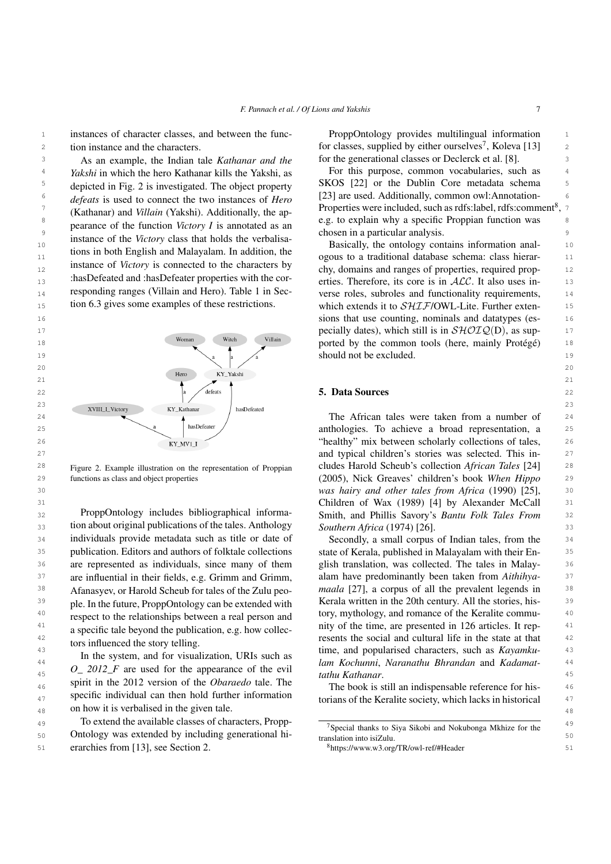<sup>1</sup> instances of character classes, and between the func-<br>ProppOntology provides multilingual information tion instance and the characters.

 $\frac{9}{2}$  ensures of the Vactory along the leads the verbelies chosen in a particular analysis. As an example, the Indian tale *Kathanar and the* depicted in Fig. [2](#page-6-1) is investigated. The object property *defeats* is used to connect the two instances of *Hero* (Kathanar) and *Villain* (Yakshi). Additionally, the appearance of the function *Victory I* is annotated as an instance of the *Victory* class that holds the verbalisations in both English and Malayalam. In addition, the instance of *Victory* is connected to the characters by :hasDefeated and :hasDefeater properties with the corresponding ranges (Villain and Hero). Table [1](#page-9-0) in Section [6.3](#page-8-0) gives some examples of these restrictions.

<span id="page-6-1"></span>

<span id="page-6-0"></span>Figure 2. Example illustration on the representation of Proppian functions as class and object properties

32 32 Smith, and Phillis Savory's *Bantu Folk Tales From* 33 **33** 33 tion about original publications of the tales. Anthology *Southern Africa* (1974) [26]. <sup>34</sup> individuals provide metadata such as title or date of Secondly, a small corpus of Indian tales, from the <sup>34</sup> 35 35 publication. Editors and authors of folktale collections <sup>36</sup> are represented as individuals, since many of them glish translation, was collected. The tales in Malay-<sup>36</sup>  $37$  are influential in their fields, e.g. Grimm and Grimm, alam have predominantly been taken from Aithihya-  $37$ <sup>38</sup> Afanasyev, or Harold Scheub for tales of the Zulu peo- maala [\[27\]](#page-20-7), a corpus of all the prevalent legends in <sup>39</sup> ple. In the future, PropoOntology can be extended with Kerala written in the 20th century. All the stories, his-<sup>40</sup> espect to the relationships between a real person and tory, mythology, and romance of the Keralite commu-<sup>41</sup> a specific tale beyond the publication e g how collection of the time, are presented in 126 articles. It rep-<sup>42</sup> tors influenced the story talling resents the social and cultural life in the state at that <sup>42</sup> ProppOntology includes bibliographical informaindividuals provide metadata such as title or date of Afanasyev, or Harold Scheub for tales of the Zulu people. In the future, ProppOntology can be extended with respect to the relationships between a real person and a specific tale beyond the publication, e.g. how collectors influenced the story telling.

44 44 *lam Kochunni*, *Naranathu Bhrandan* and *Kadamat-* $\frac{1}{45}$   $\frac{O_2}{2012}$  are used for the appearance of the evil  $\frac{1}{6}$  tathu Kathanar. <sup>46</sup> Spint in the 2012 version of the *Oburdedo* tale. The two The book is still an indispensable reference for his- $47$  specific individual can then note through information torians of the Keralite society, which lacks in historical  $47$ 48 on how it is verbalised in the given tale. In the system, and for visualization, URIs such as spirit in the 2012 version of the *Obaraedo* tale. The specific individual can then hold further information

49 To extend the available classes of characters, Propp-<br>49 50 Ontology was extended by including generational hi-<br>50 51 erarchies from [\[13\]](#page-19-12), see Section [2.](#page-1-3)  $8 \frac{\text{https://www.w3.org/TR/ow1-ref/\#Header}}{51}$ 

2 ion instance and the characters.  $\qquad \qquad$  for classes, supplied by either ourselves<sup>[7](#page-6-2)</sup>, Koleva [\[13\]](#page-19-12)  $\qquad$  2 3 As an example, the Indian tale *Kathanar and the* for the generational classes or Declerck et al. [\[8\]](#page-19-7). ProppOntology provides multilingual information

<sup>4</sup> *Yakshi* in which the hero Kathanar kills the Yakshi, as **For this purpose, common vocabularies**, such as <sup>5</sup> depicted in Fig. 2 is investigated. The object property SKOS [\[22\]](#page-20-2) or the Dublin Core metadata schema  $\epsilon$  defeats is used to connect the two instances of Hero [\[23\]](#page-20-3) are used. Additionally, common owl:Annotation- $\frac{1}{7}$  (Kathanar) and Villain (Vakshi) Additionally the an-<br>Properties were included, such as rdfs:label, rdfs:comment<sup>[8](#page-6-3)</sup>, 7  $\frac{8}{20}$  b explain why a specific Proppian function was a specific explain why a specific Proppian function was For this purpose, common vocabularies, such as

10 10 Basically, the ontology contains information anal-11 11 ogous to a traditional database schema: class hierar-12 12 chy, domains and ranges of properties, required prop- $_{13}$  : nas Defeated and that Defeater properties with the cor-<br>erties. Therefore, its core is in  $ALC$ . It also uses in-<br>13 <sup>14</sup> responding ranges (Villain and Hero). Table 1 in Sec-<br>verse roles, subroles and functionality requirements, 15 15 15 15 15 15 15 15 16 16.3 gives some examples of these restrictions. which extends it to  $\mathcal{SHIF}/\text{OWL-Lite}$ . Further exten-16 16 sions that use counting, nominals and datatypes (es-17 17 17 **pecially dates), which still is in**  $\mathcal{SHOLQ}(D)$ **, as sup-** 17 18 18 woman with villam ported by the common tools (here, mainly Protégé) 18

<sup>28</sup> Figure 2. Example illustration on the representation of Proppian cludes Harold Scheub's collection *African Tales* [\[24\]](#page-20-4) <sup>28</sup> 29 29 (2005), Nick Greaves' children's book *When Hippo* 30 30 *was hairy and other tales from Africa* (1990) [\[25\]](#page-20-5), 31 31 Children of Wax (1989) [\[4\]](#page-19-3) by Alexander McCall *Southern Africa* (1974) [\[26\]](#page-20-6).

<sup>43</sup> <sup>13</sup> **143 143 143 143 143 143 143 143 143 143 143 143 143 143 143 143 143 143 143 143 143 143 143 143 143 143 143 143 143 143 143 143 143 143 143 1** state of Kerala, published in Malayalam with their English translation, was collected. The tales in Malayalam have predominantly been taken from *Aithihyatathu Kathanar*.

<span id="page-6-3"></span><span id="page-6-2"></span>

| <sup>7</sup> Special thanks to Siya Sikobi and Nokubonga Mkhize for the |  |  |
|-------------------------------------------------------------------------|--|--|
| translation into isiZulu.                                               |  |  |
| <sup>8</sup> https://www.w3.org/TR/owl-ref/#Header                      |  |  |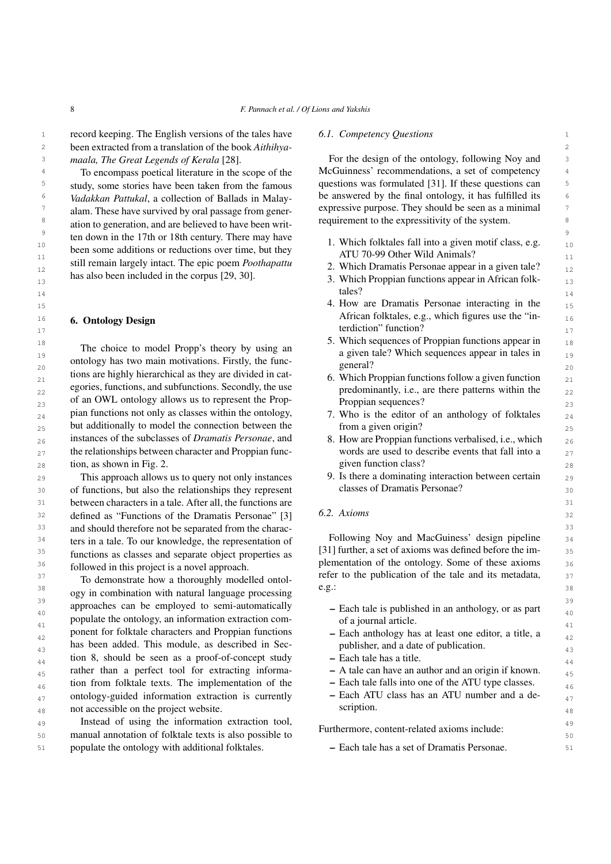1 1 1 1 1 1 1 record keeping. The English versions of the tales have the *6.1. Competency Questions* 2 2 been extracted from a translation of the book *Aithihyamaala, The Great Legends of Kerala* [\[28\]](#page-20-8).

<sup>5</sup> study, some stories have been taken from the famous questions was formulated [\[31\]](#page-20-11). If these questions can <sup>6</sup> Vadakkan Pattukal, a collection of Ballads in Malay- be answered by the final ontology, it has fulfilled its <sup>7</sup> alam. These have survived by oral passage from gener-<br>expressive purpose. They should be seen as a minimal  $\frac{7}{2}$ <sup>8</sup> ation to generation and are believed to have been writ-<br><sup>8</sup> requirement to the expressitivity of the system. <sup>9</sup> ten down in the 17th or 18th century. There may have  $\frac{1}{1}$  Which folktoles foll into a given motif class e g 10 10 1. Which folktales fall into a given motif class, e.g. <sup>11</sup><br>
still remain largely intact. The epic poem *Poothapattu* 2 Which Dramatis Personae appear in a given tale? 12 12 2. Which Dramatis Personae appear in a given tale? To encompass poetical literature in the scope of the study, some stories have been taken from the famous *Vadakkan Pattukal*, a collection of Ballads in Malayalam. These have survived by oral passage from generation to generation, and are believed to have been writbeen some additions or reductions over time, but they has also been included in the corpus [\[29,](#page-20-9) [30\]](#page-20-10).

### <span id="page-7-0"></span>6. Ontology Design

19 19 a given tale? Which sequences appear in tales in  $\frac{20}{20}$  20<br>tions are highly hierarchical as they are divided in cat-<br> $\frac{20}{20}$  6 Which Proposian functions follow a given function  $_{21}$  and the magnitude and they are divided in calculation and the Proppian functions follow a given function  $_{21}$ egories, functions, and subfunctions. Secondly, the use  $\frac{1}{22}$  predominantly, i.e., are there patterns within the  $\frac{1}{22}$ 23 of an OWL ontology allows us to represent the Prop-<br>23  $_{24}$  pian functions not only as classes within the ontology,  $\frac{1}{24}$ . Who is the editor of an anthology of folktales  $_{24}$  $_{25}$  but additionally to model the connection between the  $_{25}$  from a given origin? 26 instances of the subclasses of *Dramatis Personae*, and 28. How are Proppian functions verbalised, i.e., which 26  $_{27}$  the relationships between character and Proppian func-<br> $_{27}$  words are used to describe events that fall into a  $28 \text{ tion}$ , as shown in Fig. [2.](#page-6-1)  $28 \text{ given function class}$ ? The choice to model Propp's theory by using an ontology has two main motivations. Firstly, the funcegories, functions, and subfunctions. Secondly, the use pian functions not only as classes within the ontology, instances of the subclasses of *Dramatis Personae*, and

30 30 30 of functions, but also the relationships they represent classes of Dramatis Personae? 31 31 between characters in a tale. After all, the functions are 32 defined as "Functions of the Dramatis Personae" [\[3\]](#page-19-2)  $\qquad 0.2. \ Axioms$ <sup>33</sup> and should therefore not be separated from the charac-<sup>34</sup> ters in a tale. To our knowledge, the representation of **FOILOWING NOV and MacGuiness** design pipeline <sup>34</sup> <sup>35</sup> functions as classes and separate object properties as [31] further, a set of axioms was defined before the im-<sup>36</sup> **blowed** in this project is a novel approach **plementation** of the ontology. Some of these axioms <sup>36</sup> This approach allows us to query not only instances followed in this project is a novel approach.

<sup>38</sup> ogy in combination with natural language processing e.g.:  $\frac{39}{2}$  approaches can be employed to semi-automatically  $\frac{39}{2}$  Each tale is published in an anthology, or as part approaches can be employed to semi-automatically  $\overline{A_{00}}$  - Each tale is published in an anthology, or as part  $\frac{41}{42}$  ponent for folktale characters and Proppian functions  $\frac{41}{42}$  = Each anthology has at least one editor, a title, a  $_{42}$  ponent for folktale characters and Proppian functions  $\qquad$  – Each anthology has at least one editor, a title, a has been added. This module, as described in Sec-<br>
q<sup>3</sup> bas been added. This module, as described in Sec-<br>
q<sup>3</sup> tion [8,](#page-13-0) should be seen as a proof-of-concept study  $-$  Each tale has a title. rather than a perfect tool for extracting informa-<br> $\overline{A}$  - A tale can have an author and an origin if known.  $_{46}$  tion from folktale texts. The implementation of the  $\qquad$  – Each tale falls into one of the ATU type classes. <sub>47</sub> ontology-guided information extraction is currently  $\qquad$  – Each ATU class has an ATU number and a de-48 not accessible on the project website. Scription. Scription. To demonstrate how a thoroughly modelled ontolpopulate the ontology, an information extraction com-

49 49 Instead of using the information extraction tool, 50 50 50 manual annotation of folktale texts is also possible to the material concenterated axioms increase. 51 51 populate the ontology with additional folktales.

### *6.1. Competency Questions*

<sup>3</sup> *maala, The Great Legends of Kerala* [28]. For the design of the ontology, following Noy and <sup>4</sup> To encompass poetical literature in the scope of the McGuinness' recommendations, a set of competency <sup>4</sup>

- ATU 70-99 Other Wild Animals?
- 
- as also been included in the corpus [29, 30].  $\frac{3.6}{3.6}$  Which Proppian functions appear in African folk-14 **and 14 and 14 and 14 and 14 and 14 and 14 and 14 and 14 and 14 and 14 a** tales?
- 15 15 4. How are Dramatis Personae interacting in the 16 16 African folktales, e.g., which figures use the "in-17 **terdiction**" function?
- 18 18 5. Which sequences of Proppian functions appear in general?
	- Proppian sequences?
	- from a given origin?
	- words are used to describe events that fall into a given function class?
- 29 This approach allows us to query not only instances 9. Is there a dominating interaction between certain 29 classes of Dramatis Personae?

### *6.2. Axioms*

<sup>37</sup> The demonstrate bow a thermal wordelled onto the publication of the tale and its metadata, <sup>37</sup> Following Noy and MacGuiness' design pipeline [\[31\]](#page-20-11) further, a set of axioms was defined before the ime.g.:

- of a journal article. publisher, and a date of publication.
- Each tale has a title.
- A tale can have an author and an origin if known.
- Each tale falls into one of the ATU type classes.
- Each ATU class has an ATU number and a description.

Furthermore, content-related axioms include:

– Each tale has a set of Dramatis Personae.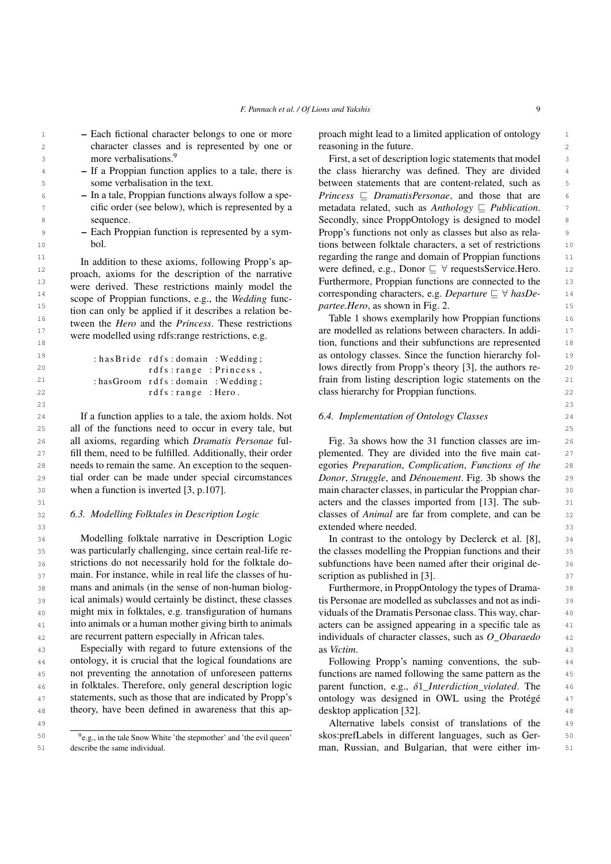$23$ 

- <sup>1</sup> Each fictional character belongs to one or more proach might lead to a limited application of ontology <sup>1</sup> 2 2 2 2 character classes and is represented by one or reasoning in the future. 3 3 First, a set of description logic statements that model – Each fictional character belongs to one or more more verbalisations.<sup>[9](#page-8-1)</sup>
	- If a Proppian function applies to a tale, there is some verbalisation in the text.
	- In a tale, Proppian functions always follow a specific order (see below), which is represented by a sequence.
	- Each Proppian function is represented by a symbol.

 $\mu_{\text{pero}}$  15 tion can only be applied if it describes a relation be *partee.Hero*, as shown in Fig. [2.](#page-6-1)  $\frac{16}{16}$  two exemplarily how Proppian functions  $\frac{16}{16}$  two exemplarily how Proppian functions  $\frac{16}{16}$  $\frac{17}{12}$  were modelled using reference restrictions e  $\alpha$  are modelled as relations between characters. In addi-In addition to these axioms, following Propp's approach, axioms for the description of the narrative were derived. These restrictions mainly model the scope of Proppian functions, e.g., the *Wedding* function can only be applied if it describes a relation between the *Hero* and the *Princess*. These restrictions were modelled using rdfs:range restrictions, e.g.

: has B ride rdfs : domain : Wedding; rdfs: range: Princess, : hasGroom rdfs: domain : Wedding; rdfs: range: Hero.

24 If a function applies to a tale, the axiom holds. Not 6.4. Implementation of Ontology Classes 24 25 25 all of the functions need to occur in every tale, but 26 26 all axioms, regarding which *Dramatis Personae* ful-27 fill them, need to be fulfilled. Additionally, their order plemented. They are divided into the five main cat-28 needs to remain the same. An exception to the sequen- egories *Preparation, Complication, Functions of the* 28 29 tial order can be made under special circumstances *Donor, Struggle, and Dénouement*. Fig. 3b shows the 29 30 **100** when a function is inverted [3, p.107]. **The analytical main character classes, in particular the Proppian char-** 30 needs to remain the same. An exception to the sequen-when a function is inverted [\[3,](#page-19-2) p.107].

### <span id="page-8-0"></span>*6.3. Modelling Folktales in Description Logic*

34 Modelling folktale narrative in Description Logic In contrast to the ontology by Declerck et al. [\[8\]](#page-19-7), 34 35 was particularly challenging, since certain real-life re- the classes modelling the Proppian functions and their 35 36 strictions do not necessarily hold for the folktale do-<br>subfunctions have been named after their original de-<br>36 37 main. For instance, while in real life the classes of hu-scription as published in [3]. 38 38 Furthermore, in ProppOntology the types of Drama-39 ical animals) would certainly be distinct, these classes is Personae are modelled as subclasses and not as indi-40 might mix in folktales, e.g. transfiguration of humans viduals of the Dramatis Personae class. This way, char-<sup>41</sup> into animals or a human mother giving birth to animals acters can be assigned appearing in a specific tale as Modelling folktale narrative in Description Logic was particularly challenging, since certain real-life restrictions do not necessarily hold for the folktale domans and animals (in the sense of non-human biological animals) would certainly be distinct, these classes into animals or a human mother giving birth to animals are recurrent pattern especially in African tales.

43 Especially with regard to future extensions of the as Victim. 44 ontology, it is crucial that the logical foundations are Following Propp's naming conventions, the sub-45 not preventing the annotation of unforeseen patterns functions are named following the same pattern as the 45 the function, e.g., δ1*\_Interdiction\_violated*. The 46<br>A 51 statements such as those that are indicated by Propo's contology was designed in OWL using the Protégé and <sup>47</sup> statements, such as those that are indicated by Propp's ontology was designed in OWL using the Protégé <sup>47</sup> <sup>48</sup> theory, have been defined in awareness that this ap-<br><sup>48</sup> desktop application [32]. not preventing the annotation of unforeseen patterns in folktales. Therefore, only general description logic statements, such as those that are indicated by Propp's

<span id="page-8-1"></span><sup>9</sup>e.g., in the tale Snow White 'the stepmother' and 'the evil queen' describe the same individual.

reasoning in the future.

<sup>4</sup> - If a Proppian function applies to a tale, there is the class hierarchy was defined. They are divided <sup>4</sup> 5 between statements that are content-related, such as  $\epsilon$  **- In a tale, Proppian functions always follow a spe-** *Princess*  $\epsilon$  *DramatisPersonae*, and those that are  $\epsilon$ 7 cific order (see below), which is represented by a metadata related, such as *Anthology*  $\subseteq$  *Publication*. 8 Secondly, since ProppOntology is designed to model 9 Propp's functions not only as classes but also as rela- 10 tions between folktale characters, a set of restrictions 11 regarding the range and domain of Proppian functions 12 were defined, e.g., Donor v ∀ requestsService.Hero. 13 Furthermore, Proppian functions are connected to the 14 14 14 14 14 14 14 1500 COTES CONFIDENT AND THE USE OF THE USE OF THE USE OF THE USE OF THE USE OF THE USE OF THE USE OF THE USE OF THE USE OF THE USE OF THE USE OF THE USE OF THE USE OF THE USE OF THE USE OF THE USE OF

18 18 tion, functions and their subfunctions are represented <sup>19</sup> 19 **has Rride** rdfs domain Wedding as ontology classes. Since the function hierarchy fol-20 20 lows directly from Propp's theory [\[3\]](#page-19-2), the authors re-21 **has Groom rdfs: domain: Wedding:** frain from listing description logic statements on the 21 22 a class hierarchy for Proppian functions. 22 and the state of the case of the case of the case of the case of the case of the case of the case of the case of the case of the case of the case of the case of the case of t

### *6.4. Implementation of Ontology Classes*

31 31 acters and the classes imported from [\[13\]](#page-19-12). The sub-32 **6.3.** Modelling Folktales in Description Logic classes of *Animal* are far from complete, and can be 32 33 33 extended where needed. Fig. [3a](#page-11-1) shows how the 31 function classes are implemented. They are divided into the five main cat-*Donor*, *Struggle*, and *Dénouement*. Fig. [3b](#page-11-1) shows the

scription as published in [\[3\]](#page-19-2).

42 42 individuals of character classes, such as *O\_Obaraedo* viduals of the Dramatis Personae class. This way, charas *Victim*.

> Following Propp's naming conventions, the subdesktop application [\[32\]](#page-20-12).

Alternative labels consist of translations of the 49 <sup>50</sup>  $9e.g.,$  in the tale Snow White 'the stepmother' and 'the evil queen' skos: prefLabels in different languages, such as Ger- <sup>50</sup> 51 51 man, Russian, and Bulgarian, that were either im-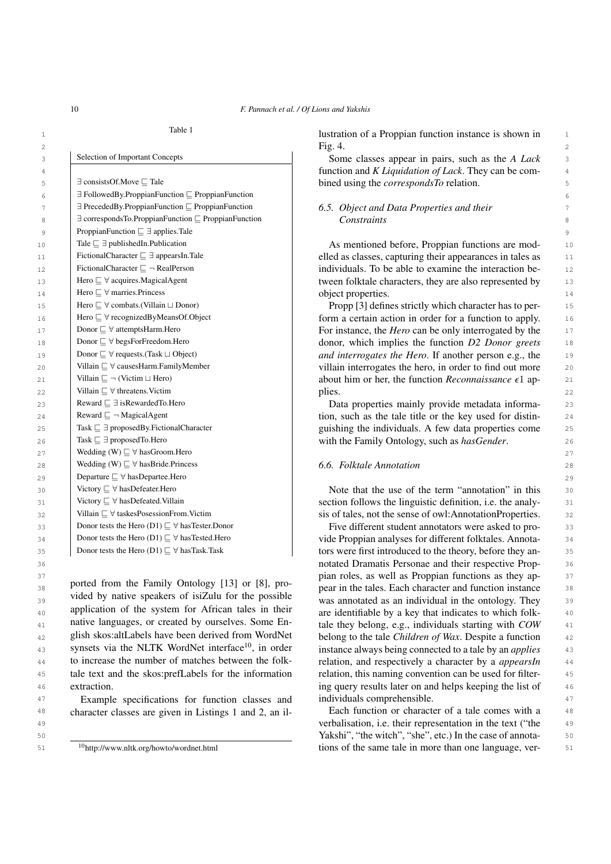| 3              | Selection of Important Concepts                                             | Some classes appear in pairs, such as the A Lack               | 3              |
|----------------|-----------------------------------------------------------------------------|----------------------------------------------------------------|----------------|
| $\overline{4}$ |                                                                             | function and $K$ <i>Liquidation of Lack</i> . They can be com- | $\overline{4}$ |
| 5              | $\exists$ consists Of Move $\Box$ Tale                                      | bined using the <i>correspondsTo</i> relation.                 | 5              |
| 6              | $\exists$ FollowedBy.ProppianFunction $\sqsubseteq$ ProppianFunction        |                                                                | 6              |
| 7              | $\exists$ PrecededBy.ProppianFunction $\sqsubseteq$ ProppianFunction        | 6.5. Object and Data Properties and their                      | 7              |
| 8              | $\exists$ corresponds To. Proppian Function $\sqsubseteq$ Proppian Function | Constraints                                                    | 8              |
| $\overline{9}$ | ProppianFunction $\sqsubseteq \exists$ applies. Tale                        |                                                                | 9              |
| 10             | Tale $\sqsubseteq \exists$ published In. Publication                        | As mentioned before, Proppian functions are mod-               | 10             |
| 11             | FictionalCharacter $\sqsubseteq \exists$ appears In. Tale                   | elled as classes, capturing their appearances in tales as      | 11             |
| 12             | FictionalCharacter $\Box \neg$ RealPerson                                   | individuals. To be able to examine the interaction be-         | 12             |
| 13             | Hero $\Box \forall$ acquires. Magical Agent                                 | tween folktale characters, they are also represented by        | 13             |
| 14             | Hero $\Box$ $\forall$ marries. Princess                                     | object properties.                                             | 14             |
| 15             | Hero $\sqsubseteq \forall$ combats.(Villain $\sqcup$ Donor)                 | Propp [3] defines strictly which character has to per-         | 15             |
| 16             | Hero $\sqsubseteq \forall$ recognizedByMeansOf.Object                       | form a certain action in order for a function to apply.        | 16             |
| 17             | Donor $\sqsubseteq \forall$ attemptsHarm.Hero                               | For instance, the <i>Hero</i> can be only interrogated by the  | 17             |
| 18             | Donor $\sqsubseteq \forall$ begsForFreedom.Hero                             | donor, which implies the function D2 Donor greets              | 18             |
| 19             | Donor $\sqsubseteq \forall$ requests.(Task $\sqcup$ Object)                 | and interrogates the Hero. If another person e.g., the         | 1 <sup>°</sup> |
| 20             | Villain $\sqsubseteq \forall$ causesHarm.FamilyMember                       | villain interrogates the hero, in order to find out more       | 20             |
| 21             | Villain $\sqsubseteq \neg$ (Victim $\sqcup$ Hero)                           | about him or her, the function Reconnaissance $\epsilon$ 1 ap- | 21             |
| 22             | Villain $\sqsubseteq \forall$ threatens. Victim                             | plies.                                                         | 22             |
| 23             | Reward $\sqsubseteq \exists$ is Rewarded To. Hero                           | Data properties mainly provide metadata informa-               | 23             |
| 24             | Reward $\sqsubseteq \neg$ MagicalAgent                                      | tion, such as the tale title or the key used for distin-       | 24             |
| 25             | Task $\sqsubseteq \exists$ proposedBy. Fictional Character                  | guishing the individuals. A few data properties come           | 25             |
| 26             | Task $\sqsubseteq \exists$ proposed To. Hero                                | with the Family Ontology, such as hasGender.                   | 26             |
| 27             | Wedding (W) $\sqsubseteq \forall$ has Groom. Hero                           |                                                                | 27             |
| 28             | Wedding (W) $\sqsubseteq \forall$ has Bride. Princess                       | 6.6. Folktale Annotation                                       | 28             |
| 29             | Departure $\sqsubseteq \forall$ has Departee. Hero                          |                                                                | 2 <sup>c</sup> |
| 30             | Victory $\sqsubseteq \forall$ has Defeater. Hero                            | Note that the use of the term "annotation" in this             | 30             |
| 31             | Victory $\sqsubseteq \forall$ has<br>Defeated.<br>Villain                   | section follows the linguistic definition, i.e. the analy-     | 31             |
| 32             | Villain $\sqsubseteq \forall$ taskes<br>Posession<br>From.Victim            | sis of tales, not the sense of owl:AnnotationProperties.       | 32             |
| 33             | Donor tests the Hero (D1) $\sqsubseteq \forall$ has Tester. Donor           | Five different student annotators were asked to pro-           | 33             |
| 34             | Donor tests the Hero (D1) $\sqsubseteq \forall$ has Tested. Hero            | vide Proppian analyses for different folktales. Annota-        | 34             |
| 35             | Donor tests the Hero (D1) $\sqsubseteq \forall$ has Task. Task              | tors were first introduced to the theory, before they an-      | 35             |
|                |                                                                             |                                                                |                |

<sup>38</sup> Ported from the Fannly Ontology [15] of [6], pro-<br>pear in the tales. Each character and function instance  $39$  vided by halve speakers of isizult for the possible was annotated as an individual in the ontology. They  $39$  $_{40}$  application of the system for Affican tales in their are identifiable by a key that indicates to which folk-  $_{40}$ <sup>41</sup> hative languages, or created by ourselves. Some En-<br>tale they belong, e.g., individuals starting with *COW* <sup>41</sup> 42 42 belong to the tale *Children of Wax*. Despite a function 43 synsets via the NLTK WordNet interface<sup>10</sup>, in order instance always being connected to a tale by an *applies* 43 44 to increase the number of matches between the folk-<br>relation, and respectively a character by a *appearsIn* 44 45 tale text and the skos:prefLabels for the information relation, this naming convention can be used for filterported from the Family Ontology [\[13\]](#page-19-12) or [\[8\]](#page-19-7), provided by native speakers of isiZulu for the possible application of the system for African tales in their native languages, or created by ourselves. Some English skos:altLabels have been derived from WordNet synsets via the NLTK WordNet interface $10$ , in order to increase the number of matches between the folkextraction.

<sup>47</sup> Example specifications for function classes and individuals comprehensible. 47

<span id="page-9-1"></span><sup>10</sup><http://www.nltk.org/howto/wordnet.html>

1 1 lustration of a Proppian function instance is shown in 2 and 2 and 2 and 2 and 2 and 2 and 2 and 2 and 2 and 2 and 2 and 2 and 2 and 2 and 2 and 2 and 2 and 2 and 2 and 2 and 2 and 2 and 2 and 2 and 2 and 2 and 2 and 2 and 2 and 2 and 2 and 2 and 2 and 2 and 2 and 2 and 2 and Fig. [4.](#page-12-0)

# *Constraints*

33 Donor tests the Hero (D1) ⊑  $\forall$  has Tester. Donor **Five different student annotators were asked to pro-** 33 34 Donor tests the Hero (D1)  $\subseteq$   $\forall$  has Tested. Hero  $\forall$  vide Proppian analyses for different folktales. Annota-35  $\Box$  Donor tests the Hero (D1)  $\Box$   $\forall$  has Task. Task  $\Box$  tors were first introduced to the theory, before they an-36 36 notated Dramatis Personae and their respective Prop-37 37 pian roles, as well as Proppian functions as they ap-<sup>46</sup> extraction. At a set of the list of the list of the list of the list of the list of the list of the list of the list of the list of the list of the list of the list of the list of the list of the list of the list of t relation, this naming convention can be used for filterindividuals comprehensible.

<sup>48</sup> character classes are given in Listings [1](#page-10-0) and [2,](#page-10-1) an il-<br>Each function or character of a tale comes with a 49 49 verbalisation, i.e. their representation in the text ("the 50 50 Yakshi", "the witch", "she", etc.) In the case of annota-<sup>10</sup>http://www.nltk.org/howto/wordnet.html tions of the same tale in more than one language, ver-<br>51 Each function or character of a tale comes with a

<span id="page-9-0"></span>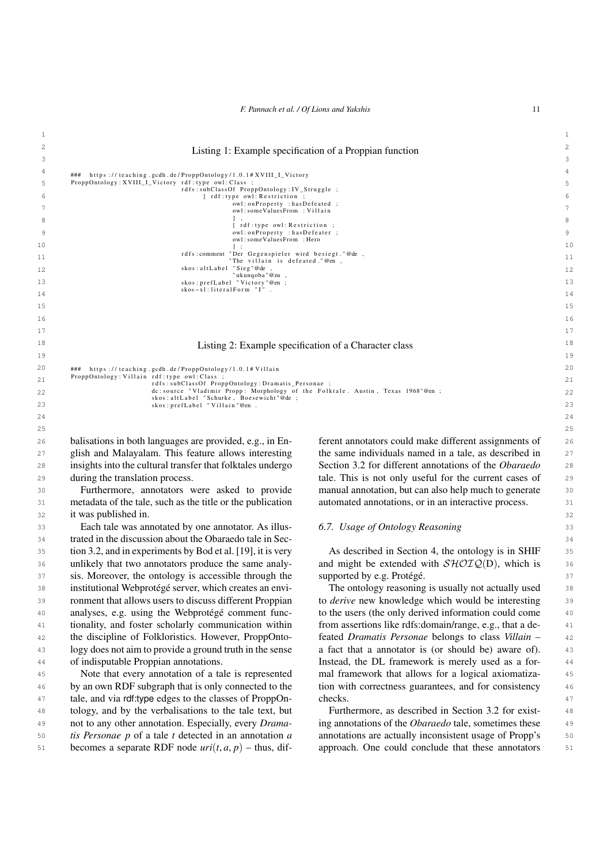### <span id="page-10-0"></span> $1$ 2 2 Listing 1: Example specification of a Proppian function 3 3

 $\begin{array}{ll} 4 & \textit{\#}\# \quad \textit{https://teaching.gcdh.de/PropOntology/1.0.1#XVIII\_I\_Victory} \end{array}$ 5 ProppOntology:XVIII\_I\_Victory rdf:type owl:Class ;<br>rdfs:subClassOf ProppOntology:IV\_Struggle ;  $\begin{array}{ccc} \text{6} \\ \text{6} \end{array}$   $\begin{array}{ccc} \text{6} \\ \text{7} \end{array}$   $\begin{array}{ccc} \text{7} \\ \text{8} \end{array}$   $\begin{array}{ccc} \text{7} \\ \text{8} \end{array}$   $\begin{array}{ccc} \text{8} \\ \text{9} \end{array}$   $\begin{array}{ccc} \text{8} \\ \text{9} \end{array}$   $\begin{array}{ccc} \text{9} \\ \text{10} \end{array}$   $\begin{array}{ccc} \text{11} \\ \text{12} \end{array}$   $\begin{array}{ccc} \text$ owl:onProperty :hasDefeated ;<br>owl:someValuesFrom :Villain  $\begin{array}{ccc} & 1, & \text{ } \\ & 8 & \text{ } \\ \end{array}$  [rdf:type owl: Restriction ; 9 9 owl : o n P r o p e r t y : h a s D e f e a t e r ; owl : someValuesF rom : Hero  $1<sup>1</sup>$ 11 11 11<br>
"The villain is defeated."@en ,<br>
12 skos:altLabel "Sieg"@de , " ukunqoba "@zu ,<br>skos : pref Label "Victory "@en ;<br>skos – x l : literal Form " l" . 14 14 15 15  $16$ ] ;<br>, rdfs:comment "Der Gegenspieler wird besiegt."@de

### <span id="page-10-1"></span>17 17 18 18 Listing 2: Example specification of a Character class 19 19

24 24  $25$ 

```
20 ### https://teaching.gcdh.de/ProppOntology/1.0.1#Villain 20
21 ProppOntology:Villain rdf:type owl:Class ;<br>rdfs:subClassOf ProppOntology:Dramatis_Personae ;
22 22
skos: prefLabel "Villain"@en. 23
                dc:source "Vladimir Propp: Morphology of the Folktale. Austin, Texas 1968"@en ;<br>skos:altLabel "Schurke, Boesewicht"@de ;<br>skos:prefLabel "Villain"@en .
```
26 balisations in both languages are provided, e.g., in En- ferent annotators could make different assignments of 26 27 glish and Malayalam. This feature allows interesting the same individuals named in a tale, as described in 27 28 insights into the cultural transfer that folktales undergo Section 3.2 for different annotations of the *Obaraedo* 28 29 during the translation process. This is not only useful for the current cases of 29 during the translation process.

31 31 metadata of the tale, such as the title or the publication 32 32 it was published in. Furthermore, annotators were asked to provide

33 **Each tale was annotated by one annotator. As illus-** 6.7. Usage of Ontology Reasoning 33 34 34 trated in the discussion about the Obaraedo tale in Sec-35 35 tion [3.2,](#page-4-1) and in experiments by Bod et al. [\[19\]](#page-19-18), it is very 36 unlikely that two annotators produce the same analy-<br>and might be extended with  $\mathcal{SHOLQ}(D)$ , which is 37 sis. Moreover, the ontology is accessible through the supported by e.g. Protégé. 37 38 38 institutional Webprotégé server, which creates an envi-39 ronment that allows users to discuss different Proppian to *derive* new knowledge which would be interesting 39 40 analyses, e.g. using the Webprotégé comment func- to the users (the only derived information could come 40 41 41 tionality, and foster scholarly communication within 42 the discipline of Folkloristics. However, ProppOnto- feated Dramatis Personae belongs to class Villain - 42 43 logy does not aim to provide a ground truth in the sense a fact that a annotator is (or should be) aware of). 43 44 44 Instead, the DL framework is merely used as a forunlikely that two annotators produce the same analyanalyses, e.g. using the Webprotégé comment funclogy does not aim to provide a ground truth in the sense of indisputable Proppian annotations.

<sup>46</sup> by an own RDF subgraph that is only connected to the tion with correctness guarantees, and for consistency <sup>46</sup> 47 47 tale, and via rdf:type edges to the classes of ProppOn-48 48 tology, and by the verbalisations to the tale text, but 49 not to any other annotation. Especially, every *Drama*- ing annotations of the *Obaraedo* tale, sometimes these 49 50 *tis Personae p* of a tale *t* detected in an annotation *a* annotations are actually inconsistent usage of Propp's 50 51 becomes a separate RDF node  $uri(t, a, p)$  – thus, dif-<br>approach. One could conclude that these annotators 51 becomes a separate RDF node  $uri(t, a, p)$  – thus, dif-

30 **130** Furthermore, annotators were asked to provide manual annotation, but can also help much to generate 30 ferent annotators could make different assignments of the same individuals named in a tale, as described in Section [3.2](#page-4-1) for different annotations of the *Obaraedo* automated annotations, or in an interactive process.

### *6.7. Usage of Ontology Reasoning*

As described in Section [4,](#page-5-0) the ontology is in SHIF supported by e.g. Protégé.

45 Note that every annotation of a tale is represented mal framework that allows for a logical axiomatiza- 45 The ontology reasoning is usually not actually used to *derive* new knowledge which would be interesting from assertions like rdfs:domain/range, e.g., that a defeated *Dramatis Personae* belongs to class *Villain* – mal framework that allows for a logical axiomatization with correctness guarantees, and for consistency checks.

> Furthermore, as described in Section [3.2](#page-4-1) for existing annotations of the *Obaraedo* tale, sometimes these annotations are actually inconsistent usage of Propp's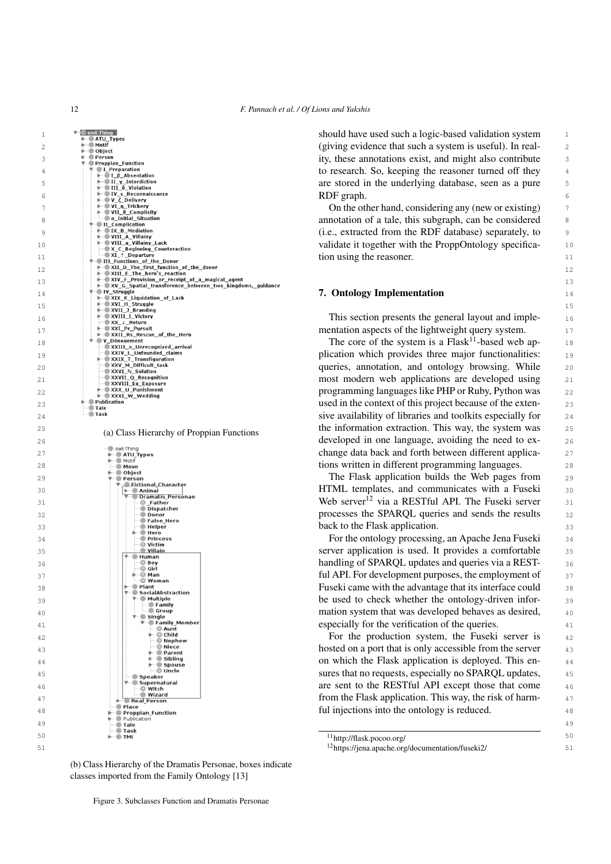<span id="page-11-1"></span>12 *F. Pannach et al. / Of Lions and Yakshis*

6 RDF graph.<br>
The VL The Complicity<br>
S Colering any (new or existing)<br>
S Complication<br>
S Complication<br>
Complication<br>
Complication<br>
Complication<br>
Complication<br>
Complication<br>
Complication<br>
Complication<br>
S (i.e., extracted fr  $\frac{1}{2}$   $\frac{1}{2}$   $\frac{1}{2}$   $\frac{1}{2}$   $\frac{1}{2}$   $\frac{1}{2}$   $\frac{1}{2}$   $\frac{1}{2}$   $\frac{1}{2}$   $\frac{1}{2}$   $\frac{1}{2}$   $\frac{1}{2}$   $\frac{1}{2}$   $\frac{1}{2}$   $\frac{1}{2}$   $\frac{1}{2}$   $\frac{1}{2}$   $\frac{1}{2}$   $\frac{1}{2}$   $\frac{1}{2}$   $\frac{1}{2}$   $\frac{1}{2}$  **b**  $\left| \begin{array}{c} \text{...} \\ \text{...} \end{array} \right|$  annotation of a tale, this subgraph, can be considered annotation of a tale, this subgraph, can be considered  $\frac{1}{2}$   $\frac{1}{2}$   $\frac{1}{2}$   $\frac{1}{2}$   $\frac{1}{2}$   $\frac{1}{2}$   $\frac{1}{2}$   $\frac{1}{2}$   $\frac{1}{2}$   $\frac{1}{2}$   $\frac{1}{2}$   $\frac{1}{2}$   $\frac{1}{2}$   $\frac{1}{2}$   $\frac{1}{2}$   $\frac{1}{2}$   $\frac{1}{2}$   $\frac{1}{2}$   $\frac{1}{2}$   $\frac{1}{2}$   $\frac{1}{2}$   $\frac{1}{2}$  10 validate it together with the ProppOntology specifica- $\frac{1}{1}$   $\frac{1}{1}$   $\frac{1}{1}$   $\frac{1}{1}$   $\frac{1}{1}$   $\frac{1}{1}$   $\frac{1}{1}$   $\frac{1}{1}$   $\frac{1}{1}$   $\frac{1}{1}$   $\frac{1}{1}$   $\frac{1}{1}$   $\frac{1}{1}$   $\frac{1}{1}$   $\frac{1}{1}$   $\frac{1}{1}$   $\frac{1}{1}$   $\frac{1}{1}$   $\frac{1}{1}$   $\frac{1}{1}$   $\frac{1}{1}$   $\frac{1}{1}$  $\frac{12}{12}$  and  $\frac{100}{12}$  in the function of the donor 13 13 14  $\blacksquare$   $\blacksquare$   $\blacksquare$   $\blacksquare$   $\blacksquare$   $\blacksquare$   $\blacksquare$   $\blacksquare$   $\blacksquare$   $\blacksquare$   $\blacksquare$   $\blacksquare$   $\blacksquare$   $\blacksquare$   $\blacksquare$   $\blacksquare$   $\blacksquare$   $\blacksquare$   $\blacksquare$   $\blacksquare$   $\blacksquare$   $\blacksquare$   $\blacksquare$   $\blacksquare$   $\blacksquare$   $\blacksquare$   $\blacksquare$   $\blacksquare$   $\blacksquare$   $\blacksquare$   $\bl$ 15<br>
A XXI\_R\_Gruggle of Lack<br>  $\frac{XVI\_B$  (Figure 15)  
\n=  $XX \perp \text{Return } 1$  (Figure 16)  
\n=  $XX \perp \text{Return } 1$  (Figure 16)  
\n=  $XX \perp \text{Return } 1$  (Figure 17)  
\n=  $XX \perp \text{return } 1$  (Figure 18)  
\n=  $XX \perp \text{return } 1$  (Figure 19)  
\n=  $XX \perp \text{return } 1$  (Figure 19)  
\n=  $X \perp \text{return$ **16**  $\frac{1}{2}$  **16**  $\frac{1}{2}$  **16**  $\frac{1}{2}$  **16**  $\frac{1}{2}$  **16**  $\frac{1}{2}$  **16**  $\frac{1}{2}$  **16**  $\frac{1}{2}$  **16**  $\frac{1}{2}$  **16**  $\frac{1}{2}$  **16**  $\frac{1}{2}$  **16**  $\frac{1}{2}$  **16**  $\frac{1}{2}$  **16**  $\frac{1}{2}$  **16**  $\frac{1}{2}$  **16**  $\frac{$  17 mentation aspects of the lightweight query system. 18 The core of the system is a Flask[11](#page-11-2)-based web ap- 19 plication which provides three major functionalities: 20 queries, annotation, and ontology browsing. While **1 Example 1 Example 1 Example 1 C** Recognition and the second versus are developed using 21 22 programming languages like PHP or Ruby, Python was 23 used in the context of this project because of the exten-  $\blacksquare$  Task  $24$   $\blacksquare$  Task 25 (a) Class Hierarchy of Proppian Eunctions the information extraction. This way, the system was 25 26 developed in one language, avoiding the need to ex- $27 \rightarrow 27$  and  $\frac{27}{10}$  and  $\frac{27}{10}$  change data back and forth between different applica- $\qquad \qquad$   $\qquad \qquad$   $\qquad$   $\qquad$   $\qquad$   $\qquad$   $\qquad$   $\qquad$   $\qquad$   $\qquad$   $\qquad$   $\qquad$   $\qquad$   $\qquad$   $\qquad$   $\qquad$   $\qquad$   $\qquad$   $\qquad$   $\qquad$   $\qquad$   $\qquad$   $\qquad$   $\qquad$   $\qquad$   $\qquad$   $\qquad$   $\qquad$   $\qquad$   $\qquad$   $\qquad$   $\qquad$   $\qquad$   $\qquad$   $\qquad$   $\$  29  $\overline{1}$   $\overline{2}$   $\overline{2}$   $\overline{2}$   $\overline{2}$   $\overline{2}$   $\overline{2}$   $\overline{2}$   $\overline{2}$   $\overline{2}$   $\overline{2}$   $\overline{2}$   $\overline{2}$   $\overline{2}$   $\overline{2}$   $\overline{2}$   $\overline{2}$   $\overline{2}$   $\overline{2}$   $\overline{2}$   $\overline{2}$   $\overline{2}$   $\overline{2}$   $\overline{2$  $\frac{30}{20}$  30  $\frac{30}{20}$   $\frac{30}{20}$   $\frac{30}{20}$   $\frac{30}{20}$   $\frac{30}{20}$   $\frac{30}{20}$   $\frac{30}{20}$   $\frac{30}{20}$   $\frac{30}{20}$   $\frac{30}{20}$   $\frac{30}{20}$   $\frac{30}{20}$   $\frac{30}{20}$   $\frac{30}{20}$   $\frac{30}{20}$   $\frac{30}{20}$   $\frac{30}{20}$   $\$  $\bigcup_{i=0}^{\infty}$  Father extends the server  $\bigcup_{i=0}^{\infty}$  Father server  $\bigcup_{i=0}^{\infty}$  Father server  $\bigcup_{i=0}^{\infty}$  Father server  $\bigcup_{i=0}^{\infty}$   $\bigcup_{i=0}^{\infty}$  Father server  $\bigcup_{i=0}^{\infty}$   $\bigcup_{i=0}^{\infty}$   $\bigcup_{i=0$ **processes the SPARQL queries and sends the results** 32 **33 back to the Flask application.** 33 34 For the ontology processing, an Apache Jena Fuseki 35 35 **Server application is used. It provides a comfortable** 35  $\frac{36}{10}$   $\frac{36}{100}$   $\frac{36}{100}$   $\frac{36}{100}$  handling of SPARQL updates and queries via a REST- $\frac{37}{2}$  ful API. For development purposes, the employment of  $\frac{37}{2}$ **Fuseki came with the advantage that its interface could** 38  $\frac{39}{2}$  be used to check whether the ontology-driven infor- $\left|\left|\right|\right| = \frac{1}{2}$  single  $\left|\right|$  $\bullet$  Family Member 2012 and the verification of the queries. **For the production system, the Fuseki server is** <sup>43</sup> hosted on a port that is only accessible from the server as 44 on which the Flask application is deployed. This en-45 and  $\left|\right|$   $\left|\right|$   $\left|\right|$   $\left|\right|$   $\left|\right|$   $\left|\right|$   $\left|\right|$   $\left|\right|$   $\left|\right|$   $\left|\right|$   $\left|\right|$   $\left|\right|$   $\left|\right|$   $\left|\right|$   $\left|\right|$   $\left|\right|$   $\left|\right|$   $\left|\right|$   $\left|\right|$   $\left|\right|$   $\left|\right|$   $\left|\right|$   $\left|\right|$   $\left|\right|$   $\left|\right|$   $\left|\right|$   $\left|\right|$ **Are Supermatural** are sent to the RESTful API except those that come 46 **EXECUTE:**  $\frac{1}{2}$  **EXECUTE:** WE RESIDENT A RESIDENCE A REFLASH APPLICATION. This way, the risk of harm-**18 1980 1980 1980 1980 1980 1980 1980 1980 1980 1980 1980 1980 1980 1980 1980 1980 1980 1980 1980 1980 1980 1980 1980 1980 1980 1980 1980 1980 1980 1980 198** 49 49  $\frac{11}{1}$ http://flask.pocoo.org/ 51 <sup>12</sup><https://jena.apache.org/documentation/fuseki2/>(a) Class Hierarchy of Proppian Functions

1 <sup>v</sup> **1** 1 and 1 and 1 and 1 and 1 and 1 should have used such a logic-based validation system 1 2 2 (giving evidence that such a system is useful). In real-3 3 ity, these annotations exist, and might also contribute <sup>4</sup>  $\leftarrow$  **Leptarchion 1** to research. So, keeping the reasoner turned off they <sup>4</sup>  $\frac{1}{2}$   $\frac{1}{2}$  The underlying database, seen as a pure  $\frac{1}{2}$ RDF graph.

tion using the reasoner.

<span id="page-11-0"></span>

<span id="page-11-2"></span>

<span id="page-11-3"></span>

Figure 3. Subclasses Function and Dramatis Personae

(b) Class Hierarchy of the Dramatis Personae, boxes indicate

classes imported from the Family Ontology [\[13\]](#page-19-12)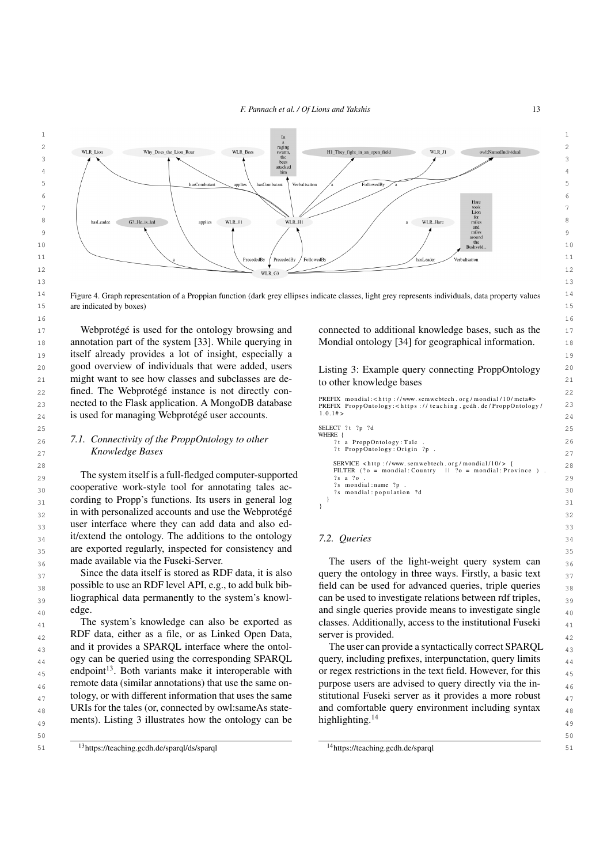<span id="page-12-0"></span>

<sup>14</sup> Figure 4. Graph representation of a Proppian function (dark grey ellipses indicate classes, light grey represents individuals, data property values<sup>14</sup> 15 are indicated by boxes) 15

17 Webprotégé is used for the ontology browsing and connected to additional knowledge bases, such as the 17 18 annotation part of the system [\[33\]](#page-20-13). While querying in 19 itself already provides a lot of insight, especially a 20 good overview of individuals that were added, users might want to see how classes and subclasses are de-<br>to other knowledge bases 22 fined. The Webprotégé instance is not directly con-**nected to the Flask application. A MongoDB database** *PREFIX ProppOntology: < Nttp://www.semwerecn.org/mondual/10/metambress/defection-gy/mondual/10/metambress/defection-gy/mondual/10/metambress/defection-gy/mondual/20* 24 is used for managing Webprotégé user accounts.  $24 \times 10^{14}$ Webprotégé is used for the ontology browsing and

29 The system itself is a full-fledged computer-supported  $\frac{1}{2}$   $\frac{1}{2}$   $\frac{1}{2}$   $\frac{1}{2}$   $\frac{1}{2}$   $\frac{1}{2}$   $\frac{1}{2}$   $\frac{1}{2}$   $\frac{1}{2}$   $\frac{1}{2}$   $\frac{1}{2}$   $\frac{1}{2}$   $\frac{1}{2}$   $\frac{1}{2}$   $\frac{1}{2}$   $\frac{1}{2}$   $\frac$  $30$  cooperative work-style tool for annotating tales ac-<br> $\frac{2 \text{ s}}{2 \text{ s}}$  mondial: nopulation 2d  $31$  cording to Propp's functions. Its users in general log  $31$  $_{32}$  in with personalized accounts and use the Webprotégé  $_{32}$ 33 user interface where they can add data and also ed-<br>33  $_{34}$  it/extend the ontology. The additions to the ontology 7.2. Queries  $_{34}$ 35 are exported regularly, inspected for consistency and 35 made available via the Fuseki-Server.

 $37$  Since the data itself is stored as RDF data, it is also query the ontology in three ways. Firstly, a basic text  $37$  $_{38}$  possible to use an RDF level API, e.g., to add bulk bib-<br>field can be used for advanced queries, triple queries  $_{38}$ <sup>39</sup> liographical data permanently to the system's knowl- can be used to investigate relations between rdf triples, Since the data itself is stored as RDF data, it is also possible to use an RDF level API, e.g., to add bulk bibedge.

 $_{42}$  RDF data, either as a file, or as Linked Open Data, server is provided.  $_{43}$  and it provides a SPARQL interface where the ontol-<br>The user can provide a syntactically correct SPARQL  $_{43}$ <sub>44</sub> ogy can be queried using the corresponding SPARQL query, including prefixes, interpunctation, query limits <sub>44</sub>  $_{45}$  endpoint<sup>13</sup>. Both variants make it interoperable with or regex restrictions in the text field. However, for this  $_{45}$  $_{46}$  remote data (similar annotations) that use the same on-<br>purpose users are advised to query directly via the intology, or with different information that uses the same stitutional Fuseki server as it provides a more robust  $\frac{47}{47}$ URIs for the tales (or, connected by owl:sameAs state-<br>and comfortable query environment including syntax<br> $_{48}$  $_{49}$  ments). Listing [3](#page-12-2) illustrates how the ontology can be highlighting.<sup>14</sup> The system's knowledge can also be exported as endpoint<sup>[13](#page-12-1)</sup>. Both variants make it interoperable with remote data (similar annotations) that use the same on-

<span id="page-12-1"></span>51 <sup>13</sup><https://teaching.gcdh.de/sparql/ds/sparql><br>51

Mondial ontology [\[34\]](#page-20-14) for geographical information.

<span id="page-12-2"></span>Listing 3: Example query connecting ProppOntology to other knowledge bases

 $PREFIX$  mondial: < http://www.semwebtech.org/mondial/10/meta#> PREFIX ProppOntology: < https://teaching.gcdh.de/ProppOntology/  $1 \t0 \t1 \t\#$ 

```
\text{SELECT} ? t ? p ? d \text{SELECT} ? t ? p ? d \text{SELECT} 2.5
26 2.1. Connectivity of the ProppOntology to other \frac{1}{2} a ProppOntology: Tale
27 27
Knowledge Bases
28 SERVICE < http://www.semwebtech.org/mondial/10/> { 28
                                           SELECT ?t ?p ?d
                                           WHERE {
                                               a ProppOntology: Tale
                                             ?t ProppOntology: Origin ?p
                                             FILTER ( ? o = mondial : Country \t  ||  ?o = mondial : Province2s a 2s?s mondial: name ?p
                                             ?s mondial: population ?d
                                            }
                                           }
```
### *7.2. Queries*

 $_{36}$  made available via the Fuseki-Server. The users of the light-weight query system can  $_{36}$  $_{40}$  edge.  $_{40}$  edge.  $_{41}$  The system's knowledge can also be exported as classes. Additionally, access to the institutional Fuseki  $_{41}$ can be used to investigate relations between rdf triples, server is provided.

> The user can provide a syntactically correct SPARQL query, including prefixes, interpunctation, query limits stitutional Fuseki server as it provides a more robust and comfortable query environment including syntax highlighting.<sup>[14](#page-12-3)</sup>

<span id="page-12-3"></span><sup>14</sup><https://teaching.gcdh.de/sparql>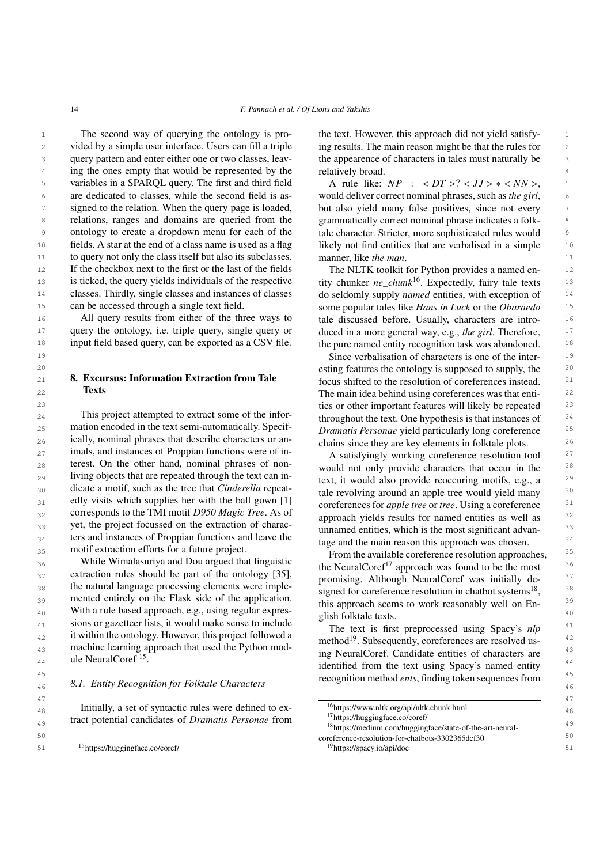14 *F. Pannach et al. / Of Lions and Yakshis*

<sup>1</sup> 1 1 1 The second way of querying the ontology is pro-<br><sup>1</sup> the text. However, this approach did not yield satisfy-2 vided by a simple user interface. Users can fill a triple ing results. The main reason might be that the rules for 2 3 3 the appearence of characters in tales must naturally be <sup>4</sup> ing the ones empty that would be represented by the relatively broad. 5 variables in a SPARQL query. The first and third field A rule like:  $NP : 2$ ,  $JJ> *$ , <sup>6</sup> are dedicated to classes, while the second field is as-<br>would deliver correct nominal phrases, such as *the girl*, <sup>7</sup> signed to the relation. When the query page is loaded, but also yield many false positives, since not every 8 8 8 relations, ranges and domains are queried from the grammatically correct nominal phrase indicates a folk-9 ontology to create a dropdown menu for each of the tale character. Stricter, more sophisticated rules would <sup>10</sup> fields. A star at the end of a class name is used as a flag likely not find entities that are verbalised in a simple <sup>10</sup> 11 to query not only the class itself but also its subclasses. manner, like *the man*. <sup>12</sup> 12 If the checkbox next to the first or the last of the fields The NLTK toolkit for Python provides a named en-13 is ticked, the query yields individuals of the respective tity chunker  $ne\_chunk^{16}$ . Expectedly, fairy tale texts 13 <sup>14</sup> classes. Thirdly, single classes and instances of classes do seldomly supply *named* entities, with exception of <sup>14</sup> The second way of querying the ontology is proquery pattern and enter either one or two classes, leavare dedicated to classes, while the second field is asontology to create a dropdown menu for each of the fields. A star at the end of a class name is used as a flag classes. Thirdly, single classes and instances of classes can be accessed through a single text field.

16 16 tale discussed before. Usually, characters are intro-<sup>17</sup> query the ontology, i.e. triple query, single query or duced in a more general way, e.g., the girl. Therefore, <sup>18</sup> input field based query, can be exported as a CSV file.  $\frac{18}{100}$  the pure named entity recognition task was abandoned. <sup>18</sup> All query results from either of the three ways to input field based query, can be exported as a CSV file.

# <span id="page-13-0"></span>8. Excursus: Information Extraction from Tale **Texts**

<sup>24</sup> 1 Ins project attempted to extract some of the informal throughout the text. One hypothesis is that instances of <sup>24</sup> 25 25 *Dramatis Personae* yield particularly long coreference <sup>26</sup> 1 26 <sup>1</sup> 12aHy, nominal phrases that describe characters or an-<br>chains since they are key elements in folktale plots. <sup>27</sup> imais, and instances of Proppian functions were of in-<br>A satisfyingly working coreference resolution tool<sup>27</sup> <sup>28</sup> terest. On the other hand, nominal phrases of non-<br>would not only provide characters that occur in the <sup>28</sup> 29 Iiving objects that are repeated through the text can in-<br>text, it would also provide reoccuring motifs, e.g., a <sup>29</sup>  $\frac{30}{20}$  and the such as the tree that *Cinderella* repeat-<br>tale revolving around an apple tree would yield many  $\frac{30}{20}$ <sup>31</sup> cally visits which supplies her with the ball gown [1] coreferences for *apple tree* or *tree*. Using a coreference  $\frac{32}{2}$  corresponds to the 1MI motif D950 Magic 1ree. As of approach yields results for named entities as well as  $\frac{32}{2}$  $\frac{33}{23}$  yet, the project focussed on the extraction of charac-<br> $\frac{33}{23}$  yet, the project focussed on the extraction of charac-<br> $\frac{33}{23}$ <sup>34</sup> ters and instances of Proppian functions and leave the tage and the main reason this approach was chosen. This project attempted to extract some of the information encoded in the text semi-automatically. Specifically, nominal phrases that describe characters or animals, and instances of Proppian functions were of interest. On the other hand, nominal phrases of nonliving objects that are repeated through the text can indicate a motif, such as the tree that *Cinderella* repeatedly visits which supplies her with the ball gown [\[1\]](#page-19-0) corresponds to the TMI motif *D950 Magic Tree*. As of ters and instances of Proppian functions and leave the motif extraction efforts for a future project.

<sup>36</sup> 36 **36 While Wimalasuriya and Dou argued that inguistic the NeuralCoref<sup>[17](#page-13-3)</sup> approach was found to be the most**  $\frac{37}{2}$  extraction rules should be part of the ontology [33], promising. Although NeuralCoref was initially de- $\frac{38}{28}$  the natural language processing elements were imple-<br>signed for coreference resolution in chatbot systems<sup>[18](#page-13-4)</sup>,  $\frac{38}{28}$  $39$  mented entirely on the Flask side of the application.  $\frac{39}{100}$  is approach seems to work reasonably well on En.  $\frac{39}{100}$ 40 With a rule based approach, e.g., using regular expres-<br> $\frac{1}{2}$  alien folktole taxes as  $\frac{1}{2}$  and  $\frac{1}{2}$  and  $\frac{1}{2}$  and  $\frac{1}{2}$  and  $\frac{1}{2}$  and  $\frac{1}{2}$  and  $\frac{1}{2}$  and  $\frac{1}{2}$  and  $\frac{1}{2}$  and  $\$ <sup>41</sup> sions or gazetteer lists, it would make sense to include<br>the text is first preprocessed using Spacy's *nlp*<sup>41</sup> <sup>42</sup> 1 a utilian the ontology. However, this project followed a method<sup>[19](#page-13-5)</sup>. Subsequently, coreferences are resolved us-43 machine learning approach that used the Python mod-<br><sup>43</sup><br>43 machine learning approach that used the Python mod-<br><sup>43</sup> While Wimalasuriya and Dou argued that linguistic extraction rules should be part of the ontology [\[35\]](#page-20-15), the natural language processing elements were implesions or gazetteer lists, it would make sense to include it within the ontology. However, this project followed a ule NeuralCoref [15](#page-13-1) .

# 46 46 *8.1. Entity Recognition for Folktale Characters*

ing results. The main reason might be that the rules for relatively broad.

A rule like:  $NP$  :  $< DT > ? < JJ > * < NN >$ , but also yield many false positives, since not every grammatically correct nominal phrase indicates a folkmanner, like *the man*.

15 15 some popular tales like *Hans in Luck* or the *Obaraedo* The NLTK toolkit for Python provides a named entity chunker *ne\_chunk*[16](#page-13-2). Expectedly, fairy tale texts duced in a more general way, e.g., *the girl*. Therefore,

19 19 Since verbalisation of characters is one of the inter-20 20 esting features the ontology is supposed to supply, the 21 **8. Excursus: Information Extraction from Tale** focus shifted to the resolution of coreferences instead. <sup>21</sup> **The main idea behind using coreferences was that enti-**  $22$ <sup>23</sup> 23 **23** ties or other important features will likely be repeated <sup>23</sup>

<span id="page-13-5"></span><span id="page-13-4"></span><span id="page-13-3"></span><span id="page-13-2"></span>unnamed entities, which is the most significant advan-

<sup>35</sup> 35 mour extraction errorts for a future project.<br>From the available coreference resolution approaches, this approach seems to work reasonably well on English folktale texts.

<sup>44</sup> and the interval of the text using Spacy's named entity and the text using Spacy's named entity <sup>44</sup> <sup>45</sup><br><sup>45</sup> **1** Entity Pecognition for Folktole Characters recognition method *ents*, finding token sequences from ing NeuralCoref. Candidate entities of characters are

<span id="page-13-1"></span>

| 48 | Initially, a set of syntactic rules were defined to ex-     | <sup>16</sup> https://www.nltk.org/api/nltk.chunk.html                | 48 |
|----|-------------------------------------------------------------|-----------------------------------------------------------------------|----|
|    | tract potential candidates of <i>Dramatis Personae</i> from | $1$ /https://huggingface.co/coref/                                    |    |
| 49 |                                                             | <sup>18</sup> https://medium.com/huggingface/state-of-the-art-neural- | 49 |
| 50 |                                                             | coreference-resolution-for-chatbots-3302365dcf30                      | 50 |
|    | <sup>15</sup> https://huggingface.co/coref/                 | $19$ https://spacy.io/api/doc                                         | 51 |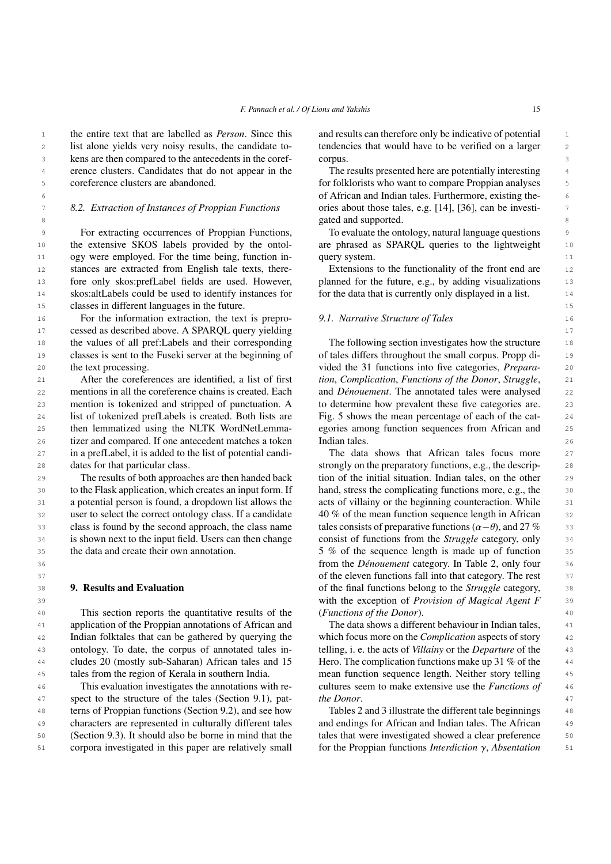1 the entire text that are labelled as *Person*. Since this and results can therefore only be indicative of potential 1 2 list alone yields very noisy results, the candidate to-<br>tendencies that would have to be verified on a larger and the candidate of the candidate to-3 3 kens are then compared to the antecedents in the coref-<sup>4</sup> erence clusters. Candidates that do not appear in the The results presented here are potentially interesting <sup>4</sup> list alone yields very noisy results, the candidate tocoreference clusters are abandoned.

### *8.2. Extraction of Instances of Proppian Functions*

<sup>9</sup> 9 For extracting occurrences of Proppian Functions, To evaluate the ontology, natural language questions 10 the extensive SKOS labels provided by the ontol- are phrased as SPARQL queries to the lightweight 10 11 ogy were employed. For the time being, function in-query system. 11 12 stances are extracted from English tale texts, there-<br>Extensions to the functionality of the front end are 12 13 fore only skos:prefLabel fields are used. However, planned for the future, e.g., by adding visualizations 13 <sup>14</sup> skos:altLabels could be used to identify instances for for the data that is currently only displayed in a list. 15 15 classes in different languages in the future. the extensive SKOS labels provided by the ontol-

16 16 16 16 For the information extraction, the text is prepro- 16 9.1. Narrative Structure of Tales 17 17 cessed as described above. A SPARQL query yielding 18 the values of all pref:Labels and their corresponding The following section investigates how the structure 18 19 classes is sent to the Fuseki server at the beginning of of tales differs throughout the small corpus. Propp di-20 **the text processing.** 20 *o* **interval interval interval into five categories,** *Prepara-* 20 the text processing.

21 21 *tion*, *Complication*, *Functions of the Donor*, *Struggle*, 22 mentions in all the coreference chains is created. Each and *Dénouement*. The annotated tales were analysed 22 23 mention is tokenized and stripped of punctuation. A to determine how prevalent these five categories are. 23 24 list of tokenized prefLabels is created. Both lists are Fig. 5 shows the mean percentage of each of the cat-25 then lemmatized using the NLTK WordNetLemma- egories among function sequences from African and 25 26 26 tizer and compared. If one antecedent matches a token 27 27 in a prefLabel, it is added to the list of potential candi-28 dates for that particular class. The strongly on the preparatory functions, e.g., the descrip-After the coreferences are identified, a list of first mentions in all the coreference chains is created. Each mention is tokenized and stripped of punctuation. A then lemmatized using the NLTK WordNetLemmadates for that particular class.

29 The results of both approaches are then handed back tion of the initial situation. Indian tales, on the other 29 30 30 to the Flask application, which creates an input form. If 31 a potential person is found, a dropdown list allows the acts of villainy or the beginning counteraction. While 31 32 user to select the correct ontology class. If a candidate 40 % of the mean function sequence length in African 32 33 class is found by the second approach, the class name tales consists of preparative functions  $(\alpha - \theta)$ , and 27 % 34 is shown next to the input field. Users can then change consist of functions from the *Struggle* category, only 35 the data and create their own annotation. 5% of the sequence length is made up of function 35 The results of both approaches are then handed back the data and create their own annotation.

# <span id="page-14-0"></span>9. Results and Evaluation

40 This section reports the quantitative results of the *(Functions of the Donor)*. 41 41 application of the Proppian annotations of African and 42 Indian folktales that can be gathered by querying the which focus more on the *Complication* aspects of story 42 43 ontology. To date, the corpus of annotated tales in-<br>telling, i. e. the acts of *Villainy* or the *Departure* of the <sup>44</sup> cludes 20 (mostly sub-Saharan) African tales and 15 Hero. The complication functions make up 31 % of the <sup>44</sup> 45 45 mean function sequence length. Neither story telling ontology. To date, the corpus of annotated tales intales from the region of Kerala in southern India.

46 This evaluation investigates the annotations with re-<br>cultures seem to make extensive use the *Functions of*  $\frac{46}{3}$ 47 spect to the structure of the tales (Section [9.1\)](#page-14-1), pat-<br>47 spect to the structure of the tales (Section 9.1), pat-<br>47 48 48 terns of Proppian functions (Section [9.2\)](#page-15-0), and see how 49 characters are represented in culturally different tales and endings for African and Indian tales. The African 49 50 (Section 9.3). It should also be borne in mind that the tales that were investigated showed a clear preference 50 51 corpora investigated in this paper are relatively small for the Proppian functions *Interdiction*  $\gamma$ , *Absentation* 51 This evaluation investigates the annotations with recharacters are represented in culturally different tales (Section [9.3\)](#page-16-0). It should also be borne in mind that the

and results can therefore only be indicative of potential corpus.

5 for folklorists who want to compare Proppian analyses 5 6 6 of African and Indian tales. Furthermore, existing the-7 8.2. Extraction of Instances of Proppian Functions ories about those tales, e.g. [\[14\]](#page-19-13), [\[36\]](#page-20-16), can be investi-**8** 8 **8 gated and supported. 8** The results presented here are potentially interesting

> To evaluate the ontology, natural language questions query system.

Extensions to the functionality of the front end are planned for the future, e.g., by adding visualizations for the data that is currently only displayed in a list.

### <span id="page-14-1"></span>*9.1. Narrative Structure of Tales*

The following section investigates how the structure of tales differs throughout the small corpus. Propp di-Fig. [5](#page-15-1) shows the mean percentage of each of the cat-Indian tales.

36 36 from the *Dénouement* category. In Table [2,](#page-15-2) only four 37 37 of the eleven functions fall into that category. The rest **9. Results and Evaluation being the final functions belong to the** *Struggle* **category, as** 39 39 with the exception of *Provision of Magical Agent F* The data shows that African tales focus more hand, stress the complicating functions more, e.g., the acts of villainy or the beginning counteraction. While 40 % of the mean function sequence length in African tales consists of preparative functions ( $\alpha-\theta$ ), and 27 % consist of functions from the *Struggle* category, only (*Functions of the Donor*).

> The data shows a different behaviour in Indian tales, which focus more on the *Complication* aspects of story Hero. The complication functions make up 31 % of the *the Donor*.

Tables [2](#page-15-2) and [3](#page-15-3) illustrate the different tale beginnings for the Proppian functions *Interdiction* γ, *Absentation*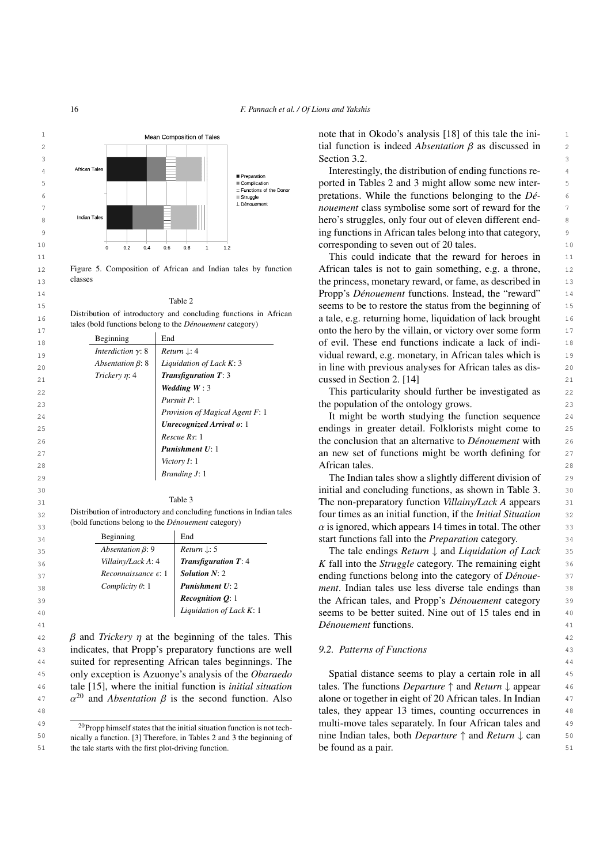<span id="page-15-1"></span>

<span id="page-15-2"></span>Figure 5. Composition of African and Indian tales by function classes

Table 2

16 16 a tale, e.g. returning home, liquidation of lack brought Distribution of introductory and concluding functions in African tales (bold functions belong to the *Dénouement* category)

|    | Beginning                 | End                              | onto the nero by the vinam, or victory over some form        |                |
|----|---------------------------|----------------------------------|--------------------------------------------------------------|----------------|
| 18 |                           |                                  | of evil. These end functions indicate a lack of indi-        | 18             |
| 19 | Interdiction $\gamma$ : 8 | <i>Return</i> $\downarrow$ : 4   | vidual reward, e.g. monetary, in African tales which is      | 1 <sup>°</sup> |
| 20 | Absentation $\beta$ : 8   | Liquidation of Lack $K: 3$       | in line with previous analyses for African tales as dis-     | 20             |
| 21 | Trickery $\eta$ : 4       | <b>Transfiguration T: 3</b>      | cussed in Section 2. [14]                                    | 21             |
| 22 |                           | Wedding $W:3$                    | This particularity should further be investigated as         | 22             |
| 23 |                           | Pursuit P: 1                     | the population of the ontology grows.                        | 23             |
| 24 |                           | Provision of Magical Agent F: 1  | It might be worth studying the function sequence             | 24             |
| 25 |                           | <b>Unrecognized Arrival o: 1</b> | endings in greater detail. Folklorists might come to         | 25             |
| 26 |                           | Rescue Rs: 1                     | the conclusion that an alternative to <i>Dénouement</i> with | 26             |
| 27 |                           | <b>Punishment U: 1</b>           | an new set of functions might be worth defining for          | 27             |
| 28 |                           | <i>Victory I:</i> 1              | African tales.                                               | 28             |
| 29 |                           | Branding J: 1                    | The Indian tales show a slightly different division of       | 2 <sub>5</sub> |

### Table 3

<span id="page-15-3"></span>32 **Solution** Distribution of introductory and concluding functions in Indian tales **four times as an initial function**, if the *Initial Situation* 32 Distribution of introductory and concluding functions in Indian tales (bold functions belong to the *Dénouement* category)

| Beginning                       | End                            |
|---------------------------------|--------------------------------|
| Absentation $\beta$ : 9         | <i>Return</i> $\downarrow$ : 5 |
| Villainy/Lack A: 4              | <b>Transfiguration T: 4</b>    |
| $Recomnaissance \in \mathbb{R}$ | Solution $N: 2$                |
| Complicity $\theta$ : 1         | <b>Punishment U: 2</b>         |
|                                 | Recognition $Q$ : 1            |
|                                 | Liquidation of Lack K: 1       |

42 *β* and *Trickery η* at the beginning of the tales. This 42<br>
indicates that Propp's preparatory functions are well and *A* 2 *Potterns of Eunctions* 43 indicates, that Propp's preparatory functions are well 9.2. Patterns of Functions 43 44 44 suited for representing African tales beginnings. The 45 only exception is Azuonye's analysis of the *Obaraedo* Spatial distance seems to play a certain role in all 45 46 tale [\[15\]](#page-19-14), where the initial function is *initial situation* tales. The functions *Departure*  $\uparrow$  and *Return*  $\downarrow$  appear 46 only exception is Azuonye's analysis of the *Obaraedo*

<span id="page-15-4"></span><sup>20</sup>Propp himself states that the initial situation function is not technically a function. [\[3\]](#page-19-2) Therefore, in Tables [2](#page-15-2) and [3](#page-15-3) the beginning of Section [3.2.](#page-4-1)

12 Figure 5. Composition of African and Indian tales by function African tales is not to gain something, e.g. a throne, 12 13 classes classes the princess, monetary reward, or fame, as described in 13 14 14 Propp's *Dénouement* functions. Instead, the "reward" 15 15 1400 1400 15 15 16 16 16 16 16 16 16 16 17 16 17 16 17 16 17 17 17 18 16 17 17 18 16 17 17 17 17 18 16 17 17 17 17 18 17 18 17 18 17 18 17 18 17 18 17 18 17 18 17 18 17 18 17 18 17 18 17 18 17 18 17 18 17 18 17 18 17 17 and second contracts the villain, or victory over some form 17

 29 The Indian tales show a slightly different division of 30 initial and concluding functions, as shown in Table [3.](#page-15-3) 31 The non-preparatory function *Villainy/Lack A* appears  $\alpha$  is ignored, which appears 14 times in total. The other association of the Brenardian category and the Brenardian category and the Brenardian category 34 34 start functions fall into the *Preparation* category.

 35 The tale endings *Return* ↓ and *Liquidation of Lack Killainy/Lack A***: 4** *Transfiguration T***: 4** *K* **fall into the** *Struggle* **category. The remaining eight 36 Reconnaissance ε:** 1 **Solution N: 2 and integral conditions belong into the category of** *Dénoue-* 37 **Superse Complicity 0: 1 Punishment U: 2 ment.** Indian tales use less diverse tale endings than **Recognition Q**: 1 **the African tales, and Propp's** *Dénouement* **category** 39 40 absolute the Liquidation of Lack K: 1 seems to be better suited. Nine out of 15 tales end in 40 41 *Dénouement* functions.

### <span id="page-15-0"></span>*9.2. Patterns of Functions*

 $α<sup>20</sup>$  $α<sup>20</sup>$  $α<sup>20</sup>$  and *Absentation* β is the second function. Also alone or together in eight of 20 African tales. In Indian  $α<sup>27</sup>$  tales they appear 13 times counting occurrences in 48 48 tales, they appear 13 times, counting occurrences in  $\frac{49}{20}$   $\frac{20}{20}$  From bimself states that the initial situation function is not tech. Multi-move tales separately. In four African tales and 50 nically a function. [3] Therefore, in Tables 2 and 3 the beginning of nine Indian tales, both *Departure*  $\uparrow$  and *Return*  $\downarrow$  can 50 51 the tale starts with the first plot-driving function. be found as a pair. tales. The functions *Departure* ↑ and *Return* ↓ appear alone or together in eight of 20 African tales. In Indian be found as a pair.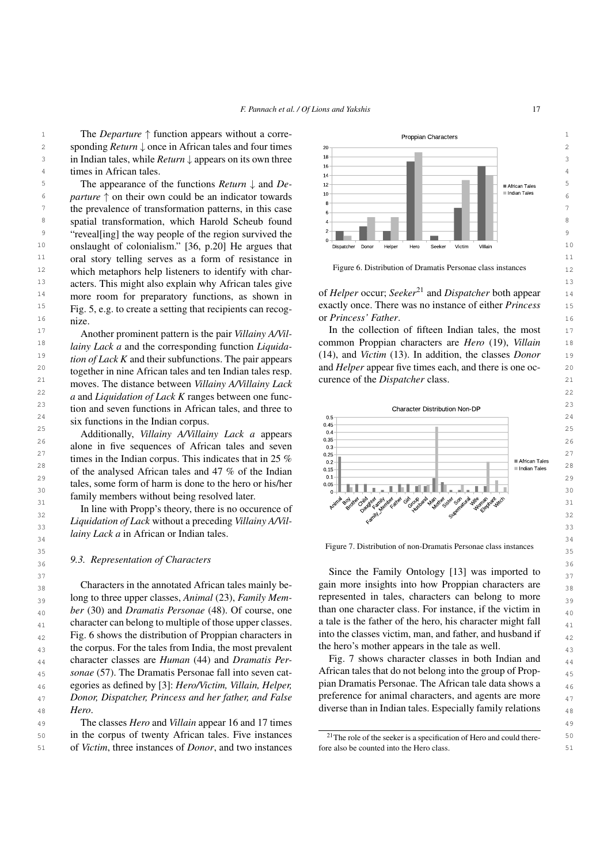<sup>11</sup> oral story telling serves as a form of resistance in <sup>11</sup> <sup>12</sup> which metaphors help listeners to identify with char-<br><sup>12</sup> <sup>13</sup> acters. This might also explain why African tales give <sup>13</sup> <sup>14</sup> more room for preparatory functions, as shown in of *Helper* occur; Seeker<sup>21</sup> and Dispatcher both appear 14 <sup>15</sup> Fig. [5,](#page-15-1) e.g. to create a setting that recipients can recog-<br> $\frac{15}{2}$  Fig. 5, e.g. to create a setting that recipients can recog-16 **nize or** *Princess' Father***.** 16 nize.

18 *Lainy Lack a* and the corresponding function *Liquida* common Proppian characters are *Hero* (19), *Villain* 18 19 19 (14), and *Victim* (13). In addition, the classes *Donor* <sup>20</sup> together in nine African tales and ten Indian tales resp. and *Helper* appear five times each, and there is one oc- <sup>20</sup> <sup>21</sup> moves. The distance between *Villainy A/Villainy Lack* curence of the *Dispatcher* class. 22 22 *a* and *Liquidation of Lack K* ranges between one func-Another prominent pattern is the pair *Villainy A/Villainy Lack a* and the corresponding function *Liquidation of Lack K* and their subfunctions. The pair appears together in nine African tales and ten Indian tales resp.

 $\frac{34}{34}$  *lainy Lack a* in African or Indian tales.

# <span id="page-16-0"></span>36 36 *9.3. Representation of Characters*

 $_{38}$  Characters in the annotated African tales mainly be-<br> $_{38}$  gain more insights into how Proppian characters are  $_{38}$ <sup>39</sup> long to three upper classes, *Animal* (23), *Family Mem*- represented in tales, characters can belong to more  $_{40}$  *ber* (30) and *Dramatis Personae* (48). Of course, one than one character class. For instance, if the victim in  $_{41}$  character can belong to multiple of those upper classes. a tale is the father of the hero, his character might fall  $_{41}$  $_{42}$  Fig. [6](#page-16-1) shows the distribution of Proppian characters in into the classes victim, man, and father, and husband if  $_{42}$  $_{43}$  the corpus. For the tales from India, the most prevalent the hero's mother appears in the tale as well. <sub>44</sub> character classes are *Human* (44) and *Dramatis Per*- Fig. 7 shows character classes in both Indian and <sub>44</sub> <sub>45</sub> *sonae* (57). The Dramatis Personae fall into seven cat-<br>African tales that do not belong into the group of Prop-<sup>46</sup> egories as defined by [\[3\]](#page-19-2): *Hero/Victim, Villain, Helper,* pian Dramatis Personae. The African tale data shows a 47 47 *Donor, Dispatcher, Princess and her father, and False* <sup>48</sup> *Hero*. *Hero Hero*. *Hero*.

49 49 The classes *Hero* and *Villain* appear 16 and 17 times 50 in the corpus of twenty African tales. Five instances  $\frac{21}{\text{The role of the seeker is a specification of Hero and could there}}$ 51 of *Victim*, three instances of *Donor*, and two instances for also be counted into the Hero class.



<span id="page-16-1"></span>Figure 6. Distribution of Dramatis Personae class instances

<span id="page-16-3"></span>of *Helper* occur; *Seeker*[21](#page-16-2) and *Dispatcher* both appear exactly once. There was no instance of either *Princess*

17 **another prominent pattern** is the pair *Villainy*  $A/NiL$  In the collection of fifteen Indian tales, the most 17 curence of the *Dispatcher* class.



 $\frac{1}{25}$  35 Figure 7. Distribution of non-Dramatis Personae class instances

 $\frac{37}{37}$  Since the Family Ontology [\[13\]](#page-19-12) was imported to  $\frac{37}{37}$ gain more insights into how Proppian characters are represented in tales, characters can belong to more than one character class. For instance, if the victim in a tale is the father of the hero, his character might fall into the classes victim, man, and father, and husband if the hero's mother appears in the tale as well.

> Fig. [7](#page-16-3) shows character classes in both Indian and African tales that do not belong into the group of Proppian Dramatis Personae. The African tale data shows a preference for animal characters, and agents are more

<span id="page-16-2"></span><sup>&</sup>lt;sup>21</sup>The role of the seeker is a specification of Hero and could therefore also be counted into the Hero class.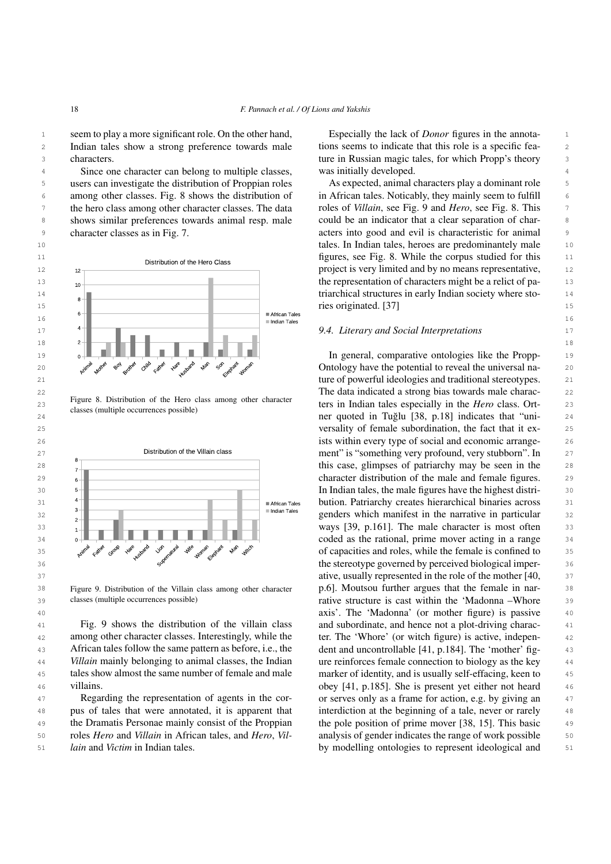seem to play a more significant role. On the other hand, Especially the lack of *Donor* figures in the annota-2 Indian tales show a strong preference towards male tions seems to indicate that this role is a specific feacharacters.

4 544 4 4 4 5 Since one character can belong to multiple classes, was initially developed. 5 5 users can investigate the distribution of Proppian roles <sup>6</sup> among other classes. Fig. [8](#page-17-0) shows the distribution of in African tales. Noticably, they mainly seem to fulfill <sup>7</sup> the hero class among other character classes. The data roles of *Villain*, see Fig. 9 and *Hero*, see Fig. 8. This <sup>8</sup> shows similar preferences towards animal resp. male could be an indicator that a clear separation of char-9 character classes as in Fig. 7. The exters into good and evil is characteristic for animal 9 character classes as in Fig. [7.](#page-16-3)

<span id="page-17-0"></span>

Figure 8. Distribution of the Hero class among other character classes (multiple occurrences possible)

<span id="page-17-1"></span>

classes (multiple occurrences possible)

Fig. [9](#page-17-1) shows the distribution of the villain class among other character classes. Interestingly, while the African tales follow the same pattern as before, i.e., the *Villain* mainly belonging to animal classes, the Indian tales show almost the same number of female and male villains.

Regarding the representation of agents in the corthe Dramatis Personae mainly consist of the Proppian roles *Hero* and *Villain* in African tales, and *Hero*, *Villain* and *Victim* in Indian tales.

3 characters. Characters characters and the state of the state of the state of the state of the state of the state of the state of the state of the state of the state of the state of the state of the state of the state of Especially the lack of *Donor* figures in the annotations seems to indicate that this role is a specific feawas initially developed.

10 10 tales. In Indian tales, heroes are predominantely male As expected, animal characters play a dominant role in African tales. Noticably, they mainly seem to fulfill roles of *Villain*, see Fig. [9](#page-17-1) and *Hero*, see Fig. [8.](#page-17-0) This could be an indicator that a clear separation of char-

22 22 The data indicated a strong bias towards male charac-<sup>23</sup> <sup>regue 6</sup>. Distinution of the refer class among other character<br> **Example 18 ters** in Indian tales especially in the *Hero* class. Ort-24 24 ner quoted in Tuglu [\[38,](#page-20-18) p.18] indicates that "uni- ˘ 25 25 versality of female subordination, the fact that it ex-26 26 ists within every type of social and economic arrange-37 37 ative, usually represented in the role of the mother [\[40,](#page-20-20) 38 38 Figure 9. Distribution of the Villain class among other character 39 classes (multiple occurrences possible) **and in the contract term** cast within the 'Madonna –Whore 39 40 40 axis'. The 'Madonna' (or mother figure) is passive <sup>41</sup> Fig. 9 shows the distribution of the villain class and subordinate, and hence not a plot-driving charac-42 among other character classes. Interestingly, while the ter. The 'Whore' (or witch figure) is active, indepen-43 African tales follow the same pattern as before, i.e., the dent and uncontrollable [\[41,](#page-20-21) p.184]. The 'mother' fig-44 *Villain* mainly belonging to animal classes, the Indian ure reinforces female connection to biology as the key 44 45 45 marker of identity, and is usually self-effacing, keen to 46 villains.  $\frac{46}{41}$ , p.185]. She is present yet either not heard 46 47 Regarding the representation of agents in the cor- or serves only as a frame for action, e.g. by giving an 47 48 48 pus of tales that were annotated, it is apparent that <sup>49</sup> the Dramatis Personae mainly consist of the Proppian the pole position of prime mover [\[38,](#page-20-18) 15]. This basic <sup>49</sup> 50 roles *Hero* and Villain in African tales, and *Hero*, Vil- analysis of gender indicates the range of work possible 50 51 *lain* and Victim in Indian tales. **Example 10** by modelling ontologies to represent ideological and 51 p.6]. Moutsou further argues that the female in narinterdiction at the beginning of a tale, never or rarely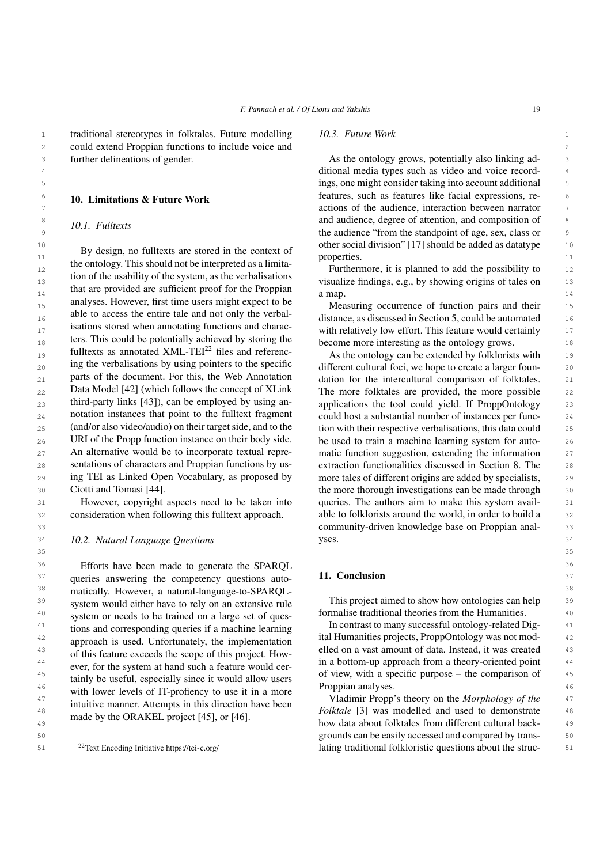2 2 could extend Proppian functions to include voice and

<span id="page-18-0"></span>further delineations of gender. 10. Limitations & Future Work *10.1. Fulltexts*

<sup>12</sup> <sup>12</sup> **EXECUTE:** 12 **12 EXECUTE:** 12 **12 EXECUTE:** 12 **12 EXECUTE:** 12 **EXECUTE:** 12 13 13 visualize findings, e.g., by showing origins of tales on that are provided are sufficient proof for the Proppian  $\frac{14}{\text{amp}}$ . <sup>15</sup> 15 **15** 15 **15** 15 **15** 15 **16** 15 **16** 15 **16** 16 **16** Measuring occurrence of function pairs and their 15 <sup>16</sup> <sup>16</sup> <sup>16</sup> <sup>16</sup> <sup>16</sup> **16** automated <sup>16</sup> **16** automated <sup>16</sup> **16** automated <sup>16</sup> **16** automated <sup>16</sup>  $17$  18 is 17 17 17 17 18 is to the amount of the change include the world certainly the method of the method of  $17$ 18 18 become more interesting as the ontology grows. 19 19 As the ontology can be extended by folklorists with  $_{20}$  and the verbalisations by using pointers to the specific different cultural foci, we hope to create a larger foun- $_{21}$  parts of the document. For this, the web Annotation dation for the intercultural comparison of folktales.  $_{21}$ 22 Data Model [42] (which follows the concept of XLInk The more folktales are provided, the more possible 22 23 third-party links [43]), can be employed by using an-<br>applications the tool could yield. If ProppOntology 23  $_{24}$  notation instances that point to the fulltext fragment could host a substantial number of instances per func-25 (and/or also video/audio) on their target side, and to the tion with their respective verbalisations, this data could 25 26 URI of the Propp function instance on their body side. be used to train a machine learning system for auto-27 An alternative would be to incorporate textual repre- matic function suggestion, extending the information  $27$ 28 sentations of characters and Proppian functions by us-<br>extraction functionalities discussed in Section [8.](#page-13-0) The 28 29 29 more tales of different origins are added by specialists, the ontology. This should not be interpreted as a limitation of the usability of the system, as the verbalisations analyses. However, first time users might expect to be able to access the entire tale and not only the verbalisations stored when annotating functions and characters. This could be potentially achieved by storing the fulltexts as annotated  $XML-TEI<sup>22</sup>$  $XML-TEI<sup>22</sup>$  $XML-TEI<sup>22</sup>$  files and referencing the verbalisations by using pointers to the specific parts of the document. For this, the Web Annotation Data Model [\[42\]](#page-20-22) (which follows the concept of XLink third-party links [\[43\]](#page-20-23)), can be employed by using annotation instances that point to the fulltext fragment (and/or also video/audio) on their target side, and to the URI of the Propp function instance on their body side. An alternative would be to incorporate textual representations of characters and Proppian functions by using TEI as Linked Open Vocabulary, as proposed by Ciotti and Tomasi [\[44\]](#page-20-24).

31 However, copyright aspects need to be taken into queries. The authors aim to make this system avail-<br>31 32 consideration when following this fulltext approach. able to folklorists around the world, in order to build a 32 However, copyright aspects need to be taken into consideration when following this fulltext approach.

<sup>36</sup> 36 Efforts have been made to generate the SPARQL 36  $37$  queries answering the competency questions auto-<br> $11.$  Conclusion <sup>38</sup> matically. However, a natural-language-to-SPARQL-<br><sup>38</sup> <sup>39</sup> system would either have to rely on an extensive rule. This project aimed to show how ontologies can help <sup>39</sup> <sup>40</sup> system or needs to be trained on a large set of ques-<br><sup>40</sup> formalise traditional theories from the Humanities. <sup>41</sup> tions and corresponding queries if a machine learning ln contrast to many successful ontology-related Dig-<sup>42</sup> approach is used Infortunately the implementation ital Humanities projects, ProppOntology was not mod-<sup>43</sup> elled on a vast amount of data. Instead, it was created <sup>43</sup> <sup>44</sup> ever for the system at band such a feature would cer-<br>a in a bottom-up approach from a theory-oriented point  $\frac{45}{45}$  tainly be useful especially since it would allow users of view, with a specific purpose – the comparison of  $\frac{45}{45}$ <sup>46</sup> with lower levels of IT-profiency to use it in a more Proppian analyses. <sup>47</sup> intuitive manner. Attempts in this direction have been Vladimir Propp's theory on the *Morphology of the* <sup>47</sup> <sup>48</sup> Holktale [\[3\]](#page-19-2) was modelled and used to demonstrate as system would either have to rely on an extensive rule system or needs to be trained on a large set of questions and corresponding queries if a machine learning approach is used. Unfortunately, the implementation of this feature exceeds the scope of this project. However, for the system at hand such a feature would certainly be useful, especially since it would allow users intuitive manner. Attempts in this direction have been made by the ORAKEL project [\[45\]](#page-20-25), or [\[46\]](#page-20-26).

<span id="page-18-2"></span><sup>22</sup>Text Encoding Initiative<https://tei-c.org/>

### 1 1 1 1 traditional stereotypes in folktales. Future modelling 10.3. Future Work *10.3. Future Work*

3 3 As the ontology grows, potentially also linking ad-4 4 ditional media types such as video and voice record-5 5 ings, one might consider taking into account additional  $\frac{6}{10}$  **10** Limitations & Future Work **features** is features, such as features like facial expressions, re-7 7 actions of the audience, interaction between narrator 8 8 8 8 8 10 *I* Eulters 9 9 1.1.1 Tances 1.9 1.9 1.9 The audience "from the standpoint of age, sex, class or <sup>10</sup> 10 **10**  $\frac{1}{2}$  **D**<sub>1</sub> decimbes a dividend as determined be a content of  $\frac{1}{2}$  other social division" [\[17\]](#page-19-16) should be added as datatype 10  $\frac{1}{11}$  By design, no fulltexts are stored in the context of properties. properties.

a map.

 30 the more thorough investigations can be made through 33 community-driven knowledge base on Proppian anal- 34 *10.2. Natural Language Questions* yses.

### <span id="page-18-1"></span>11. Conclusion

35 35

Proppian analyses.

<sup>49</sup> <sup>the c</sup>olumn project 1.5<sup>1</sup>, or 1.6<sup>1</sup>. 50 50 grounds can be easily accessed and compared by trans-51 51 lating traditional folkloristic questions about the struc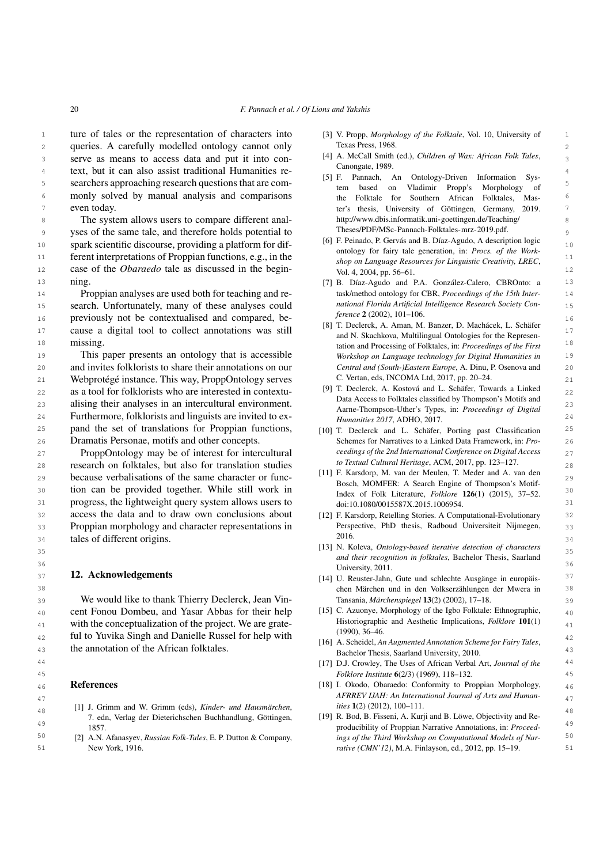**ture of tales or the representation of characters into** [3] V. Propp, Morphology of the Folktale, Vol. 10, University of 1 2 queries. A carefully modelled ontology cannot only  $\frac{3}{2}$  serve as means to access data and put it into con-<br> $\frac{14}{4}$  A. McCall Smith (ed.), Children of Wax: African Folk Tales, 4 text, but it can also assist traditional Humanities re- $\frac{1}{2}$  searchers approaching research questions that are com-<br> $\frac{1}{2}$  temple and  $\frac{1}{2}$  Merity Prom's Morphology of 5 6 monly solved by manual analysis and comparisons 7 ter's thesis, University of Göttingen, Germany, 2019. even today.

8 **8 The system allows users to compare different anal- http://www.dbis.informatik.uni-goettingen.de/Teaching/** 9 yses of the same tale, and therefore holds potential to Theses/PDF/MSc-Pannach-Folktales-mrz-2019.pdf. 10 10 spark scientific discourse, providing a platform for dif-11 **11 ferent interpretations of Proppian functions, e.g., in the** the shape on Language Resources for Lineuistic Creativity, LBEC 11 12 case of the *Obaraedo* tale as discussed in the begin-<br>  $\frac{12}{12}$  vol. 4, 2004, pp. 56–61. ning.

14 **Proppian analyses are used both for teaching and re-** task/method ontology for CBR, Proceedings of the 15th Inter-15 **Search.** Unfortunately, many of these analyses could *national Florida Artificial Intelligence Research Society Con* 16 **previously not be contextualised and compared, be-**  $\frac{Jference 2(2002), 101-106}{Iference 2(2002), 101-106}$ 17 cause a digital tool to collect annotations was still  $\frac{101 \text{ A}}{201 \text{ A}} = \frac{101 \text{ A}}{201 \text{ A}} = \frac{101 \text{ A}}{201 \text{ A}} = \frac{101 \text{ A}}{201 \text{ A}} = \frac{101 \text{ A}}{201 \text{ A}} = \frac{101 \text{ A}}{201 \text{ A}} = \frac{101 \text{ A}}{201 \text{ A}} = \frac{101 \text{ A}}{201 \text$ missing.

19 19 19 19 19 This paper presents an ontology that is accessible *Workshop on Language technology for Digital Humanities in* 20 20 and invites folklorists to share their annotations on our 21 21 Webprotégé instance. This way, ProppOntology serves 22 as a tool for folklorists who are interested in contextu-<br>22 as a tool for folklorists who are interested in contextu-23 alising their analyses in an intercultural environment. Agree Theorem Uther's Times in Proceedings of Digital 23 24 **Eurthermore, folklorists and linguists are invited to ex-**<br> $H_{\text{unmanities 2017}}$  ADHO 2017 25 **pand the set of translations for Proppian functions,** [10] T. Declerck and L. Schäfer, Porting past Classification 25 26 Dramatis Personae, motifs and other concepts. Schemes for Narratives to a Linked Data Framework, in: Pro-26

27 **ProppOntology may be of interest for intercultural** examples of the 2nd International Conference on Digital Access 27 28 **28** 28 **28** research on folktales, but also for translation studies **28** 28 28 28 28 29 29 because verbalisations of the same character or func-30 tion can be provided together. While still work in  $\frac{300 \text{ kg}}{\text{Index of Eolk}}$  interative Eolklape 126(1) (2015) 37-52 30 31 progress, the lightweight query system allows users to doi:10.1080/0015587X.2015.1006954. 32 access the data and to draw own conclusions about [12] F. Karsdorp, Retelling Stories. A Computational-Evolutionary 32 33 Proppian morphology and character representations in Perspective, PhD thesis, Radboud Universiteit Nijmegen, 33 34 34 tales of different origins.

### <span id="page-19-15"></span><span id="page-19-14"></span><span id="page-19-13"></span><span id="page-19-12"></span><span id="page-19-11"></span>12. Acknowledgements

39 **We would like to thank Thierry Declerck, Jean Vin-** Tansania, *Märchenspiegel* 13(2) (2002), 17–18.  $_{40}$  cent Fonou Dombeu, and Yasar Abbas for their help [15] C. Azuonye, Morphology of the Igbo Folktale: Ethnographic,  $_{40}$ 41 with the conceptualization of the project. We are grate-<br>41 with the conceptualization of the project. We are grate-<br>41 42 42 ful to Yuvika Singh and Danielle Russel for help with

### <span id="page-19-18"></span><span id="page-19-17"></span><span id="page-19-16"></span><span id="page-19-0"></span>References

- $\frac{48}{48}$  11 J. Commit and W. Commit (eus), Kinder- and Hausmarchen,<br>18<br>18 T. edn, Verlag der Dieterichschen Buchhandlung, Göttingen, [19] R. Bod, B. Fisseni, A. Kurji and B. Löwe, Objectivity and Re-[1] J. Grimm and W. Grimm (eds), *Kinder- und Hausmärchen*, 7. edn, Verlag der Dieterichschen Buchhandlung, Göttingen, 1857.
	- [2] A.N. Afanasyev, *Russian Folk-Tales*, E. P. Dutton & Company, New York, 1916.
- <span id="page-19-2"></span>[3] V. Propp, *Morphology of the Folktale*, Vol. 10, University of Texas Press, 1968.
- <span id="page-19-3"></span>[4] A. McCall Smith (ed.), *Children of Wax: African Folk Tales*, Canongate, 1989.
- <span id="page-19-4"></span>[5] F. Pannach, An Ontology-Driven Information System based on Vladimir Propp's Morphology of the Folktale for Southern African Folktales, Mas[http://www.dbis.informatik.uni-goettingen.de/Teaching/](http://www.dbis.informatik.uni-goettingen.de/Teaching/Theses/PDF/MSc-Pannach-Folktales-mrz-2019.pdf) [Theses/PDF/MSc-Pannach-Folktales-mrz-2019.pdf.](http://www.dbis.informatik.uni-goettingen.de/Teaching/Theses/PDF/MSc-Pannach-Folktales-mrz-2019.pdf)
- <span id="page-19-10"></span><span id="page-19-9"></span><span id="page-19-8"></span><span id="page-19-7"></span><span id="page-19-6"></span><span id="page-19-5"></span>[6] F. Peinado, P. Gervás and B. Díaz-Agudo, A description logic ontology for fairy tale generation, in: *Procs. of the Workshop on Language Resources for Linguistic Creativity, LREC*, Vol. 4, 2004, pp. 56–61.
- 13 13 [7] B. Díaz-Agudo and P.A. González-Calero, CBROnto: a task/method ontology for CBR, *Proceedings of the 15th International Florida Artificial Intelligence Research Society Conference* 2 (2002), 101–106.
- 18 18 tation and Processing of Folktales, in: *Proceedings of the First* [8] T. Declerck, A. Aman, M. Banzer, D. Machácek, L. Schäfer and N. Skachkova, Multilingual Ontologies for the Represen-*Workshop on Language technology for Digital Humanities in Central and (South-)Eastern Europe*, A. Dinu, P. Osenova and C. Vertan, eds, INCOMA Ltd, 2017, pp. 20–24.
	- [9] T. Declerck, A. Kostová and L. Schäfer, Towards a Linked Data Access to Folktales classified by Thompson's Motifs and Aarne-Thompson-Uther's Types, in: *Proceedings of Digital Humanities 2017*, ADHO, 2017.
	- [10] T. Declerck and L. Schäfer, Porting past Classification Schemes for Narratives to a Linked Data Framework, in: *Proceedings of the 2nd International Conference on Digital Access to Textual Cultural Heritage*, ACM, 2017, pp. 123–127.
	- [11] F. Karsdorp, M. van der Meulen, T. Meder and A. van den Bosch, MOMFER: A Search Engine of Thompson's Motif-Index of Folk Literature, *Folklore* 126(1) (2015), 37–52. doi:10.1080/0015587X.2015.1006954.
	- [12] F. Karsdorp, Retelling Stories. A Computational-Evolutionary Perspective, PhD thesis, Radboud Universiteit Nijmegen, 2016.
- 35 35 [13] N. Koleva, *Ontology-based iterative detection of characters*  $\frac{1}{16}$  36 *and their recognition in folktales*, Bachelor Thesis, Saarland University, 2011.
- $37$  **12. Acknowledgements and**  $37$  [14] U. Reuster-Jahn, Gute und schlechte Ausgänge in europäis-38 38 chen Märchen und in den Volkserzählungen der Mwera in Tansania, *Märchenspiegel* 13(2) (2002), 17–18.
	- [15] C. Azuonye, Morphology of the Igbo Folktale: Ethnographic, Historiographic and Aesthetic Implications, *Folklore* 101(1) (1990), 36–46.
- 43 the annotation of the African folktales.<br>43 Bachelor Thesis Sagrland University 2010 [16] A. Scheidel, *An Augmented Annotation Scheme for Fairy Tales*, Bachelor Thesis, Saarland University, 2010.
- 44 44 [17] D.J. Crowley, The Uses of African Verbal Art, *Journal of the* 45 45 *Folklore Institute* 6(2/3) (1969), 118–132.
- 46 **References Exercise 20 References EXERC EXERC EXERC EXERC EXERCISE 18 EXERC EXERC EXERCISE 18 EXERC EXERCISE 18 EXERCISE 18 EXERCISE 18 EXERCISE 18 EXERCISE 18 EXERCISE 18 EXERC EX** 47 47 *AFRREV IJAH: An International Journal of Arts and Humanities* 1(2) (2012), 100–111.
- <span id="page-19-1"></span>49 49 producibility of Proppian Narrative Annotations, in: *Proceed-*50 50 *ings of the Third Workshop on Computational Models of Nar-*51 51 *rative (CMN'12)*, M.A. Finlayson, ed., 2012, pp. 15–19.

<sup>20</sup> *F. Pannach et al. / Of Lions and Yakshis*